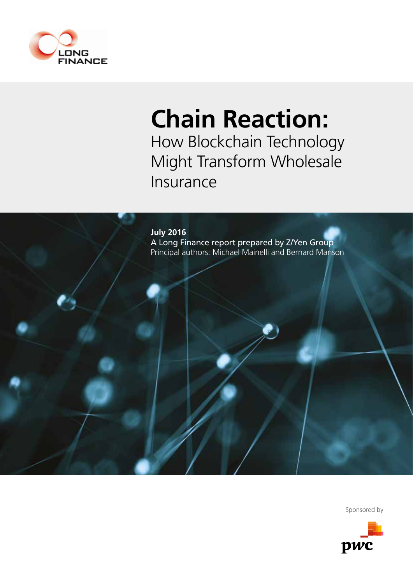

## **Chain Reaction:**

How Blockchain Technology Might Transform Wholesale Insurance



Sponsored by

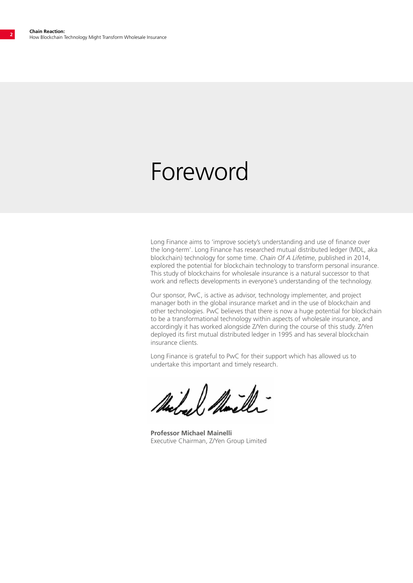### Foreword

Long Finance aims to 'improve society's understanding and use of finance over the long-term'. Long Finance has researched mutual distributed ledger (MDL, aka blockchain) technology for some time. *Chain Of A Lifetime*, published in 2014, explored the potential for blockchain technology to transform personal insurance. This study of blockchains for wholesale insurance is a natural successor to that work and reflects developments in everyone's understanding of the technology.

Our sponsor, PwC, is active as advisor, technology implementer, and project manager both in the global insurance market and in the use of blockchain and other technologies. PwC believes that there is now a huge potential for blockchain to be a transformational technology within aspects of wholesale insurance, and accordingly it has worked alongside Z/Yen during the course of this study. Z/Yen deployed its first mutual distributed ledger in 1995 and has several blockchain insurance clients.

Long Finance is grateful to PwC for their support which has allowed us to undertake this important and timely research.

Michael

**Professor Michael Mainelli** Executive Chairman, Z/Yen Group Limited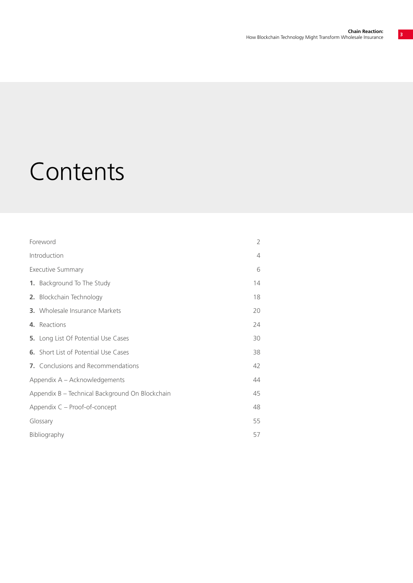## Contents

| Foreword                                        | 2  |
|-------------------------------------------------|----|
| Introduction                                    | 4  |
| <b>Executive Summary</b>                        | 6  |
| 1. Background To The Study                      | 14 |
| 2. Blockchain Technology                        | 18 |
| <b>3.</b> Wholesale Insurance Markets           | 20 |
| 4. Reactions                                    | 24 |
| 5. Long List Of Potential Use Cases             | 30 |
| <b>6.</b> Short List of Potential Use Cases     | 38 |
| 7. Conclusions and Recommendations              | 42 |
| Appendix A – Acknowledgements                   | 44 |
| Appendix B - Technical Background On Blockchain | 45 |
| Appendix C - Proof-of-concept                   | 48 |
| 55<br>Glossary                                  |    |
| <b>Bibliography</b><br>57                       |    |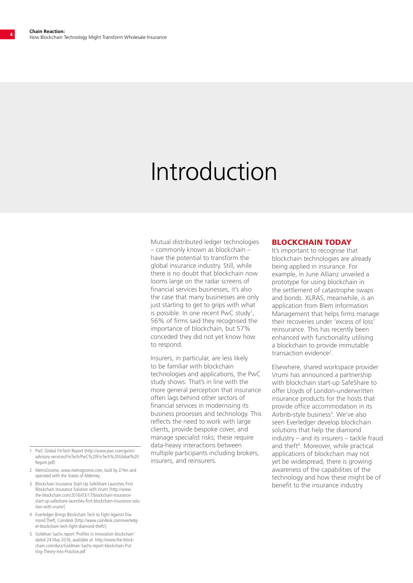## Introduction

Mutual distributed ledger technologies – commonly known as blockchain – have the potential to transform the global insurance industry. Still, while there is no doubt that blockchain now looms large on the radar screens of financial services businesses, it's also the case that many businesses are only just starting to get to grips with what is possible. In one recent PwC study<sup>1</sup>, 56% of firms said they recognised the importance of blockchain, but 57% conceded they did not yet know how to respond.

Insurers, in particular, are less likely to be familiar with blockchain technologies and applications, the PwC study shows. That's in line with the more general perception that insurance often lags behind other sectors of financial services in modernising its business processes and technology. This reflects the need to work with large clients, provide bespoke cover, and manage specialist risks; these require data-heavy interactions between multiple participants including brokers, insurers, and reinsurers.

#### BLOCKCHAIN TODAY

It's important to recognise that blockchain technologies are already being applied in insurance. For example, in June Allianz unveiled a prototype for using blockchain in the settlement of catastrophe swaps and bonds. XLRAS, meanwhile, is an application from Blem Information Management that helps firms manage their recoveries under 'excess of loss' reinsurance. This has recently been enhanced with functionality utilising a blockchain to provide immutable transaction evidence<sup>2</sup>.

Elsewhere, shared workspace provider Vrumi has announced a partnership with blockchain start-up SafeShare to offer Lloyds of London-underwritten insurance products for the hosts that provide office accommodation in its Airbnb-style business<sup>3</sup>. We've also seen Everledger develop blockchain solutions that help the diamond industry – and its insurers – tackle fraud and theft<sup>4</sup>. Moreover, while practical applications of blockchain may not yet be widespread, there is growing awareness of the capabilities of the technology and how these might be of benefit to the insurance industry.

- 1 PwC Global FinTech Report (http://www.pwc.com/gx/en/ advisory-services/FinTech/PwC%20FinTech%20Global%20 Report.pdf)
- 2 MetroGnomo, www.metrognomo.com, built by Z/Yen and operated with the States of Alderney.
- 3 Blockchain Insurance Start-Up SafeShare Launches First Blockchain Insurance Solution with Vrumi [http://www. the-blockchain.com/2016/03/17/blockchain-insurancestart-up-safeshare-launches-first-blockchain-insurance-solution-with-vrumi/]
- 4 Everledger Brings Blockchain Tech to Fight Against Diamond Theft, Coindesk [http://www.coindesk.com/everledger-blockchain-tech-fight-diamond-theft/]
- 5 Goldman Sachs report 'Profiles in Innovation blockchain' dated 24 May 2016, available at http://www.the-blockchain.com/docs/Goldman-Sachs-report-blockchain-Putting-Theory-into-Practice.pdf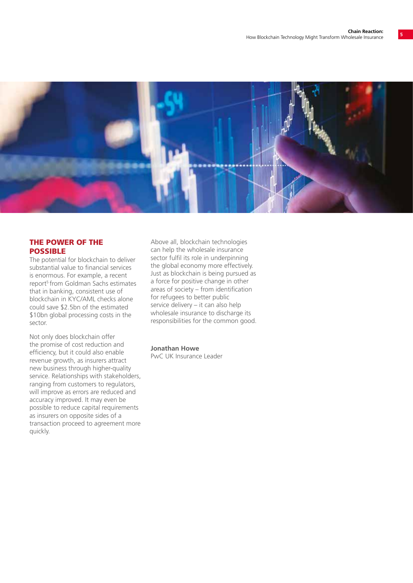

#### THE POWER OF THE POSSIBLE

The potential for blockchain to deliver substantial value to financial services is enormous. For example, a recent report<sup>5</sup> from Goldman Sachs estimates that in banking, consistent use of blockchain in KYC/AML checks alone could save \$2.5bn of the estimated \$10bn global processing costs in the sector.

Not only does blockchain offer the promise of cost reduction and efficiency, but it could also enable revenue growth, as insurers attract new business through higher-quality service. Relationships with stakeholders, ranging from customers to regulators, will improve as errors are reduced and accuracy improved. It may even be possible to reduce capital requirements as insurers on opposite sides of a transaction proceed to agreement more quickly.

Above all, blockchain technologies can help the wholesale insurance sector fulfil its role in underpinning the global economy more effectively. Just as blockchain is being pursued as a force for positive change in other areas of society – from identification for refugees to better public service delivery – it can also help wholesale insurance to discharge its responsibilities for the common good.

**Jonathan Howe**

PwC UK Insurance Leader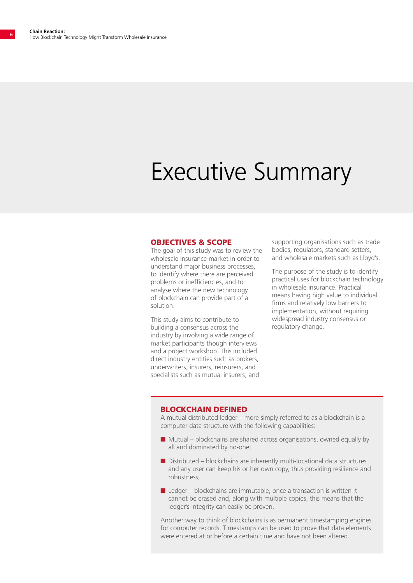## Executive Summary

#### OBJECTIVES & SCOPE

The goal of this study was to review the wholesale insurance market in order to understand major business processes, to identify where there are perceived problems or inefficiencies, and to analyse where the new technology of blockchain can provide part of a solution.

This study aims to contribute to building a consensus across the industry by involving a wide range of market participants though interviews and a project workshop. This included direct industry entities such as brokers, underwriters, insurers, reinsurers, and specialists such as mutual insurers, and supporting organisations such as trade bodies, regulators, standard setters, and wholesale markets such as Lloyd's.

The purpose of the study is to identify practical uses for blockchain technology in wholesale insurance. Practical means having high value to individual firms and relatively low barriers to implementation, without requiring widespread industry consensus or regulatory change.

#### BLOCKCHAIN DEFINED

A mutual distributed ledger – more simply referred to as a blockchain is a computer data structure with the following capabilities:

- $\blacksquare$  Mutual blockchains are shared across organisations, owned equally by all and dominated by no-one;
- $\blacksquare$  Distributed blockchains are inherently multi-locational data structures and any user can keep his or her own copy, thus providing resilience and robustness;
- $\blacksquare$  Ledger blockchains are immutable, once a transaction is written it cannot be erased and, along with multiple copies, this means that the ledger's integrity can easily be proven.

Another way to think of blockchains is as permanent timestamping engines for computer records. Timestamps can be used to prove that data elements were entered at or before a certain time and have not been altered.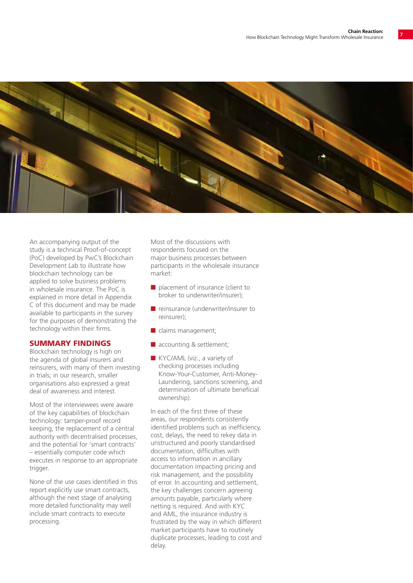

An accompanying output of the study is a technical Proof-of-concept (PoC) developed by PwC's Blockchain Development Lab to illustrate how blockchain technology can be applied to solve business problems in wholesale insurance. The PoC is explained in more detail in Appendix C of this document and may be made available to participants in the survey for the purposes of demonstrating the technology within their firms.

#### SUMMARY FINDINGS

Blockchain technology is high on the agenda of global insurers and reinsurers, with many of them investing in trials; in our research, smaller organisations also expressed a great deal of awareness and interest.

Most of the interviewees were aware of the key capabilities of blockchain technology: tamper-proof record keeping, the replacement of a central authority with decentralised processes, and the potential for 'smart contracts' – essentially computer code which executes in response to an appropriate trigger.

None of the use cases identified in this report explicitly use smart contracts, although the next stage of analysing more detailed functionality may well include smart contracts to execute processing.

Most of the discussions with respondents focused on the major business processes between participants in the wholesale insurance market:

- $\blacksquare$  placement of insurance (client to broker to underwriter/insurer);
- $\blacksquare$  reinsurance (underwriter/insurer to reinsurer);
- $\blacksquare$  claims management;
- $\blacksquare$  accounting & settlement;
- KYC/AML (viz., a variety of checking processes including Know-Your-Customer, Anti-Money-Laundering, sanctions screening, and determination of ultimate beneficial ownership).

In each of the first three of these areas, our respondents consistently identified problems such as inefficiency, cost, delays, the need to rekey data in unstructured and poorly standardised documentation, difficulties with access to information in ancillary documentation impacting pricing and risk management, and the possibility of error. In accounting and settlement, the key challenges concern agreeing amounts payable, particularly where netting is required. And with KYC and AML, the insurance industry is frustrated by the way in which different market participants have to routinely duplicate processes, leading to cost and delay.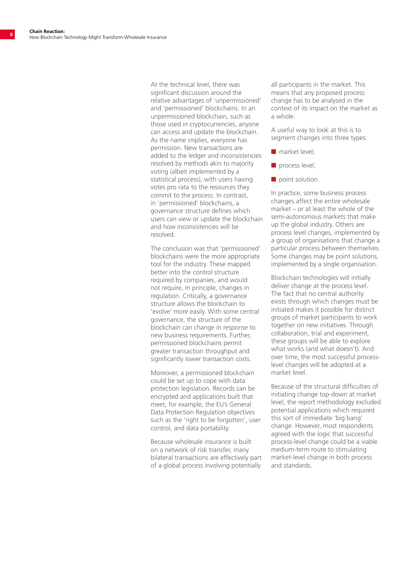At the technical level, there was significant discussion around the relative advantages of 'unpermissioned' and 'permissioned' blockchains. In an unpermissioned blockchain, such as those used in cryptocurrencies, anyone can access and update the blockchain. As the name implies, everyone has permission. New transactions are added to the ledger and inconsistencies resolved by methods akin to majority voting (albeit implemented by a statistical process), with users having votes pro rata to the resources they commit to the process. In contrast, in 'permissioned' blockchains, a governance structure defines which users can view or update the blockchain and how inconsistencies will be resolved.

The conclusion was that 'permissioned' blockchains were the more appropriate tool for the industry. These mapped better into the control structure required by companies, and would not require, in principle, changes in regulation. Critically, a governance structure allows the blockchain to 'evolve' more easily. With some central governance, the structure of the blockchain can change in response to new business requirements. Further, permissioned blockchains permit greater transaction throughput and significantly lower transaction costs.

Moreover, a permissioned blockchain could be set up to cope with data protection legislation. Records can be encrypted and applications built that meet, for example, the EU's General Data Protection Regulation objectives such as the 'right to be forgotten', user control, and data portability.

Because wholesale insurance is built on a network of risk transfer, many bilateral transactions are effectively part of a global process involving potentially

all participants in the market. This means that any proposed process change has to be analysed in the context of its impact on the market as a whole.

A useful way to look at this is to segment changes into three types:

- $\blacksquare$  market level;
- n process level;
- $\blacksquare$  point solution.

In practice, some business process changes affect the entire wholesale market – or at least the whole of the semi-autonomous markets that make up the global industry. Others are process level changes, implemented by a group of organisations that change a particular process between themselves. Some changes may be point solutions, implemented by a single organisation.

Blockchain technologies will initially deliver change at the process level. The fact that no central authority exists through which changes must be initiated makes it possible for distinct groups of market participants to work together on new initiatives. Through collaboration, trial and experiment, these groups will be able to explore what works (and what doesn't). And over time, the most successful processlevel changes will be adopted at a market level.

Because of the structural difficulties of initiating change top-down at market level, the report methodology excluded potential applications which required this sort of immediate 'big bang' change. However, most respondents agreed with the logic that successful process-level change could be a viable medium-term route to stimulating market-level change in both process and standards.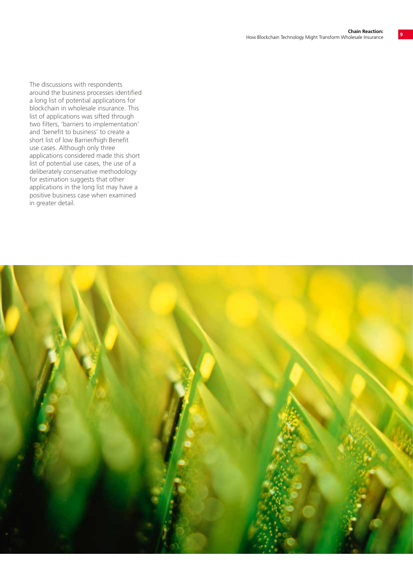The discussions with respondents around the business processes identified a long list of potential applications for blockchain in wholesale insurance. This list of applications was sifted through two filters, 'barriers to implementation' and 'benefit to business' to create a short list of low Barrier/high Benefit use cases. Although only three applications considered made this short list of potential use cases, the use of a deliberately conservative methodology for estimation suggests that other applications in the long list may have a positive business case when examined in greater detail.

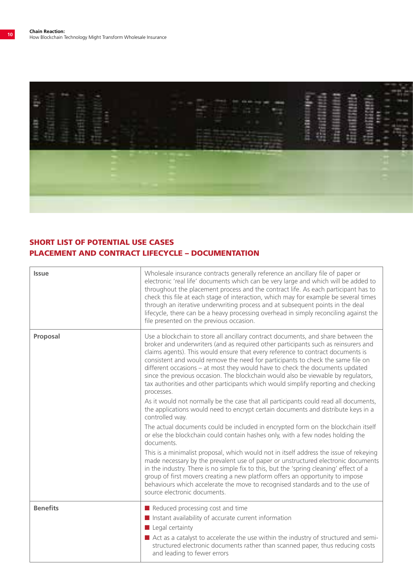

### SHORT LIST OF POTENTIAL USE CASES PLACEMENT AND CONTRACT LIFECYCLE – DOCUMENTATION

| <b>Issue</b>    | Wholesale insurance contracts generally reference an ancillary file of paper or<br>electronic 'real life' documents which can be very large and which will be added to<br>throughout the placement process and the contract life. As each participant has to<br>check this file at each stage of interaction, which may for example be several times<br>through an iterative underwriting process and at subsequent points in the deal<br>lifecycle, there can be a heavy processing overhead in simply reconciling against the<br>file presented on the previous occasion.                                            |
|-----------------|------------------------------------------------------------------------------------------------------------------------------------------------------------------------------------------------------------------------------------------------------------------------------------------------------------------------------------------------------------------------------------------------------------------------------------------------------------------------------------------------------------------------------------------------------------------------------------------------------------------------|
| Proposal        | Use a blockchain to store all ancillary contract documents, and share between the<br>broker and underwriters (and as required other participants such as reinsurers and<br>claims agents). This would ensure that every reference to contract documents is<br>consistent and would remove the need for participants to check the same file on<br>different occasions - at most they would have to check the documents updated<br>since the previous occasion. The blockchain would also be viewable by regulators,<br>tax authorities and other participants which would simplify reporting and checking<br>processes. |
|                 | As it would not normally be the case that all participants could read all documents,<br>the applications would need to encrypt certain documents and distribute keys in a<br>controlled way.                                                                                                                                                                                                                                                                                                                                                                                                                           |
|                 | The actual documents could be included in encrypted form on the blockchain itself<br>or else the blockchain could contain hashes only, with a few nodes holding the<br>documents.                                                                                                                                                                                                                                                                                                                                                                                                                                      |
|                 | This is a minimalist proposal, which would not in itself address the issue of rekeying<br>made necessary by the prevalent use of paper or unstructured electronic documents<br>in the industry. There is no simple fix to this, but the 'spring cleaning' effect of a<br>group of first movers creating a new platform offers an opportunity to impose<br>behaviours which accelerate the move to recognised standards and to the use of<br>source electronic documents.                                                                                                                                               |
| <b>Benefits</b> | Reduced processing cost and time                                                                                                                                                                                                                                                                                                                                                                                                                                                                                                                                                                                       |
|                 | Instant availability of accurate current information<br>$\blacksquare$ Legal certainty                                                                                                                                                                                                                                                                                                                                                                                                                                                                                                                                 |
|                 | Act as a catalyst to accelerate the use within the industry of structured and semi-<br>structured electronic documents rather than scanned paper, thus reducing costs<br>and leading to fewer errors                                                                                                                                                                                                                                                                                                                                                                                                                   |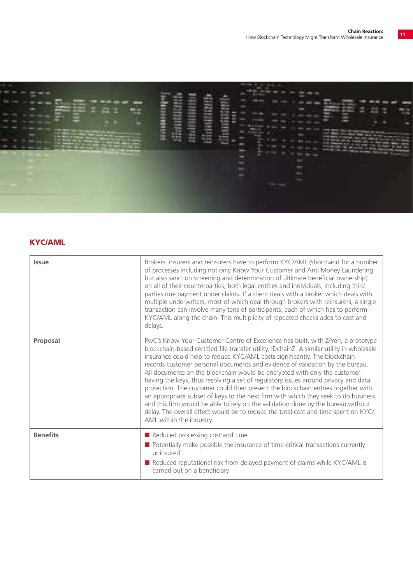

### KYC/AML

| <b>Issue</b>    | Brokers, insurers and reinsurers have to perform KYC/AML (shorthand for a number<br>of processes including not only Know Your Customer and Anti Money Laundering<br>but also sanction screening and determination of ultimate beneficial ownership)<br>on all of their counterparties, both legal entities and individuals, including third<br>parties due payment under claims. If a client deals with a broker which deals with<br>multiple underwriters, most of which deal through brokers with reinsurers, a single<br>transaction can involve many tens of participants, each of which has to perform<br>KYC/AML along the chain. This multiplicity of repeated checks adds to cost and<br>delays.                                                                                                                                                                                          |
|-----------------|---------------------------------------------------------------------------------------------------------------------------------------------------------------------------------------------------------------------------------------------------------------------------------------------------------------------------------------------------------------------------------------------------------------------------------------------------------------------------------------------------------------------------------------------------------------------------------------------------------------------------------------------------------------------------------------------------------------------------------------------------------------------------------------------------------------------------------------------------------------------------------------------------|
| Proposal        | PwC's Know-Your-Customer Centre of Excellence has built, with Z/Yen, a prototype<br>blockchain-based certified file transfer utility, IDchainZ. A similar utility in wholesale<br>insurance could help to reduce KYC/AML costs significantly. The blockchain<br>records customer personal documents and evidence of validation by the bureau.<br>All documents on the blockchain would be encrypted with only the customer<br>having the keys, thus resolving a set of regulatory issues around privacy and data<br>protection. The customer could then present the blockchain entries together with<br>an appropriate subset of keys to the next firm with which they seek to do business,<br>and this firm would be able to rely on the validation done by the bureau without<br>delay. The overall effect would be to reduce the total cost and time spent on KYC/<br>AML within the industry. |
| <b>Benefits</b> | Reduced processing cost and time<br>$\blacksquare$ Potentially make possible the insurance of time-critical transactions currently<br>uninsured<br>Reduced reputational risk from delayed payment of claims while KYC/AML is<br>carried out on a beneficiary                                                                                                                                                                                                                                                                                                                                                                                                                                                                                                                                                                                                                                      |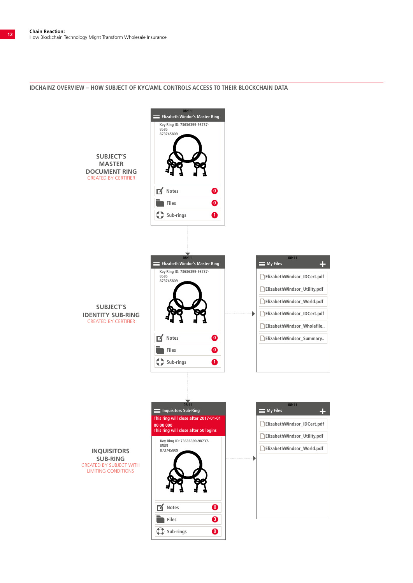#### **IDCHAINZ OVERVIEW – HOW SUBJECT OF KYC/AML CONTROLS ACCESS TO THEIR BLOCKCHAIN DATA**

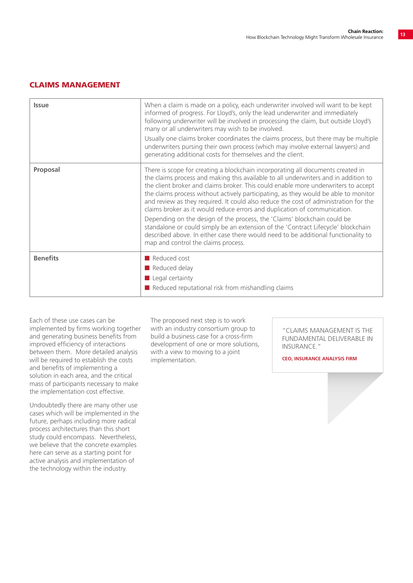#### CLAIMS MANAGEMENT

| <b>Issue</b>    | When a claim is made on a policy, each underwriter involved will want to be kept<br>informed of progress. For Lloyd's, only the lead underwriter and immediately<br>following underwriter will be involved in processing the claim, but outside Lloyd's<br>many or all underwriters may wish to be involved.<br>Usually one claims broker coordinates the claims process, but there may be multiple<br>underwriters pursing their own process (which may involve external lawyers) and<br>generating additional costs for themselves and the client.                                                                                                                                                                                                                                                                   |
|-----------------|------------------------------------------------------------------------------------------------------------------------------------------------------------------------------------------------------------------------------------------------------------------------------------------------------------------------------------------------------------------------------------------------------------------------------------------------------------------------------------------------------------------------------------------------------------------------------------------------------------------------------------------------------------------------------------------------------------------------------------------------------------------------------------------------------------------------|
| Proposal        | There is scope for creating a blockchain incorporating all documents created in<br>the claims process and making this available to all underwriters and in addition to<br>the client broker and claims broker. This could enable more underwriters to accept<br>the claims process without actively participating, as they would be able to monitor<br>and review as they required. It could also reduce the cost of administration for the<br>claims broker as it would reduce errors and duplication of communication.<br>Depending on the design of the process, the 'Claims' blockchain could be<br>standalone or could simply be an extension of the 'Contract Lifecycle' blockchain<br>described above. In either case there would need to be additional functionality to<br>map and control the claims process. |
| <b>Benefits</b> | Reduced cost<br>Reduced delay<br>$\blacksquare$ Legal certainty<br>$\blacksquare$ Reduced reputational risk from mishandling claims                                                                                                                                                                                                                                                                                                                                                                                                                                                                                                                                                                                                                                                                                    |

Each of these use cases can be implemented by firms working together and generating business benefits from improved efficiency of interactions between them. More detailed analysis will be required to establish the costs and benefits of implementing a solution in each area, and the critical mass of participants necessary to make the implementation cost effective.

Undoubtedly there are many other use cases which will be implemented in the future, perhaps including more radical process architectures than this short study could encompass. Nevertheless, we believe that the concrete examples here can serve as a starting point for active analysis and implementation of the technology within the industry.

The proposed next step is to work with an industry consortium group to build a business case for a cross-firm development of one or more solutions, with a view to moving to a joint implementation.

"CLAIMS MANAGEMENT IS THE FUNDAMENTAL DELIVERABLE IN INSURANCE."

**CEO, INSURANCE ANALYSIS FIRM**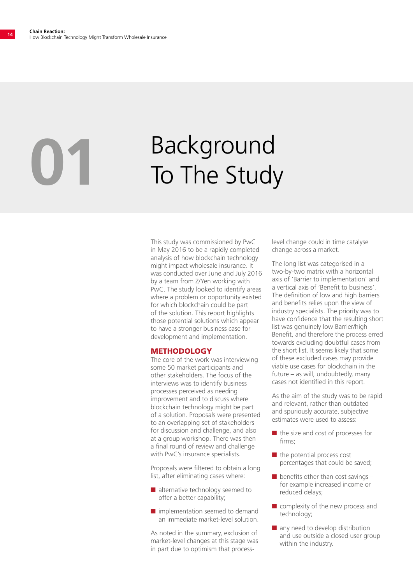# **D1** Background<br>To The Study

This study was commissioned by PwC in May 2016 to be a rapidly completed analysis of how blockchain technology might impact wholesale insurance. It was conducted over June and July 2016 by a team from Z/Yen working with PwC. The study looked to identify areas where a problem or opportunity existed for which blockchain could be part of the solution. This report highlights those potential solutions which appear to have a stronger business case for development and implementation.

#### **METHODOLOGY**

The core of the work was interviewing some 50 market participants and other stakeholders. The focus of the interviews was to identify business processes perceived as needing improvement and to discuss where blockchain technology might be part of a solution. Proposals were presented to an overlapping set of stakeholders for discussion and challenge, and also at a group workshop. There was then a final round of review and challenge with PwC's insurance specialists.

Proposals were filtered to obtain a long list, after eliminating cases where:

- $\blacksquare$  alternative technology seemed to offer a better capability;
- $\blacksquare$  implementation seemed to demand an immediate market-level solution.

As noted in the summary, exclusion of market-level changes at this stage was in part due to optimism that processlevel change could in time catalyse change across a market.

The long list was categorised in a two-by-two matrix with a horizontal axis of 'Barrier to implementation' and a vertical axis of 'Benefit to business'. The definition of low and high barriers and benefits relies upon the view of industry specialists. The priority was to have confidence that the resulting short list was genuinely low Barrier/high Benefit, and therefore the process erred towards excluding doubtful cases from the short list. It seems likely that some of these excluded cases may provide viable use cases for blockchain in the future – as will, undoubtedly, many cases not identified in this report.

As the aim of the study was to be rapid and relevant, rather than outdated and spuriously accurate, subjective estimates were used to assess:

- $\blacksquare$  the size and cost of processes for firms;
- $\blacksquare$  the potential process cost percentages that could be saved;
- $\blacksquare$  benefits other than cost savings for example increased income or reduced delays;
- $\blacksquare$  complexity of the new process and technology;
- $\blacksquare$  any need to develop distribution and use outside a closed user group within the industry.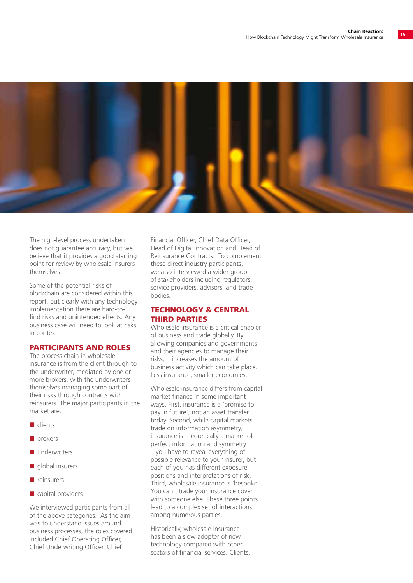

The high-level process undertaken does not quarantee accuracy, but we believe that it provides a good starting point for review by wholesale insurers themselves.

Some of the potential risks of blockchain are considered within this report, but clearly with any technology implementation there are hard-tofind risks and unintended effects. Any business case will need to look at risks in context.

#### PARTICIPANTS AND ROLES

The process chain in wholesale insurance is from the client through to the underwriter, mediated by one or more brokers, with the underwriters themselves managing some part of their risks through contracts with reinsurers. The major participants in the market are:

- n clients
- n brokers
- $\blacksquare$  underwriters
- $\blacksquare$  global insurers
- $n$  reinsurers
- $\blacksquare$  capital providers

We interviewed participants from all of the above categories. As the aim was to understand issues around business processes, the roles covered included Chief Operating Officer, Chief Underwriting Officer, Chief

Financial Officer, Chief Data Officer, Head of Digital Innovation and Head of Reinsurance Contracts. To complement these direct industry participants, we also interviewed a wider group of stakeholders including regulators, service providers, advisors, and trade bodies.

#### TECHNOLOGY & CENTRAL THIRD PARTIES

Wholesale insurance is a critical enabler of business and trade globally. By allowing companies and governments and their agencies to manage their risks, it increases the amount of business activity which can take place. Less insurance, smaller economies.

Wholesale insurance differs from capital market finance in some important ways. First, insurance is a 'promise to pay in future', not an asset transfer today. Second, while capital markets trade on information asymmetry, insurance is theoretically a market of perfect information and symmetry – you have to reveal everything of possible relevance to your insurer, but each of you has different exposure positions and interpretations of risk. Third, wholesale insurance is 'bespoke'. You can't trade your insurance cover with someone else. These three points lead to a complex set of interactions among numerous parties.

Historically, wholesale insurance has been a slow adopter of new technology compared with other sectors of financial services. Clients,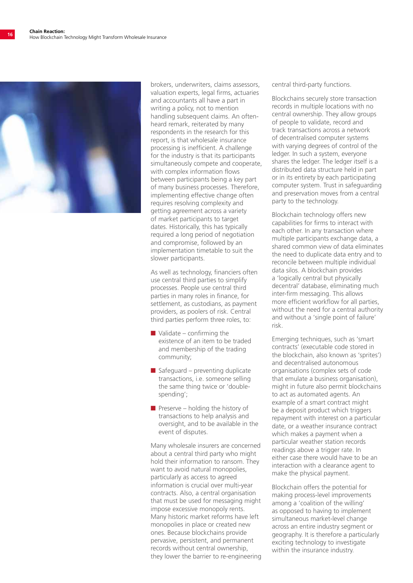

brokers, underwriters, claims assessors, valuation experts, legal firms, actuaries and accountants all have a part in writing a policy, not to mention handling subsequent claims. An oftenheard remark, reiterated by many respondents in the research for this report, is that wholesale insurance processing is inefficient. A challenge for the industry is that its participants simultaneously compete and cooperate, with complex information flows between participants being a key part of many business processes. Therefore, implementing effective change often requires resolving complexity and getting agreement across a variety of market participants to target dates. Historically, this has typically required a long period of negotiation and compromise, followed by an implementation timetable to suit the slower participants.

As well as technology, financiers often use central third parties to simplify processes. People use central third parties in many roles in finance, for settlement, as custodians, as payment providers, as poolers of risk. Central third parties perform three roles, to:

- $\blacksquare$  Validate confirming the existence of an item to be traded and membership of the trading community;
- $\blacksquare$  Safeguard preventing duplicate transactions, i.e. someone selling the same thing twice or 'doublespending';
- **n** Preserve holding the history of transactions to help analysis and oversight, and to be available in the event of disputes.

Many wholesale insurers are concerned about a central third party who might hold their information to ransom. They want to avoid natural monopolies, particularly as access to agreed information is crucial over multi-year contracts. Also, a central organisation that must be used for messaging might impose excessive monopoly rents. Many historic market reforms have left monopolies in place or created new ones. Because blockchains provide pervasive, persistent, and permanent records without central ownership, they lower the barrier to re-engineering

central third-party functions.

Blockchains securely store transaction records in multiple locations with no central ownership. They allow groups of people to validate, record and track transactions across a network of decentralised computer systems with varying degrees of control of the ledger. In such a system, everyone shares the ledger. The ledger itself is a distributed data structure held in part or in its entirety by each participating computer system. Trust in safeguarding and preservation moves from a central party to the technology.

Blockchain technology offers new capabilities for firms to interact with each other. In any transaction where multiple participants exchange data, a shared common view of data eliminates the need to duplicate data entry and to reconcile between multiple individual data silos. A blockchain provides a 'logically central but physically decentral' database, eliminating much inter-firm messaging. This allows more efficient workflow for all parties, without the need for a central authority and without a 'single point of failure' risk.

Emerging techniques, such as 'smart contracts' (executable code stored in the blockchain, also known as 'sprites') and decentralised autonomous organisations (complex sets of code that emulate a business organisation), might in future also permit blockchains to act as automated agents. An example of a smart contract might be a deposit product which triggers repayment with interest on a particular date, or a weather insurance contract which makes a payment when a particular weather station records readings above a trigger rate. In either case there would have to be an interaction with a clearance agent to make the physical payment.

Blockchain offers the potential for making process-level improvements among a 'coalition of the willing' as opposed to having to implement simultaneous market-level change across an entire industry segment or geography. It is therefore a particularly exciting technology to investigate within the insurance industry.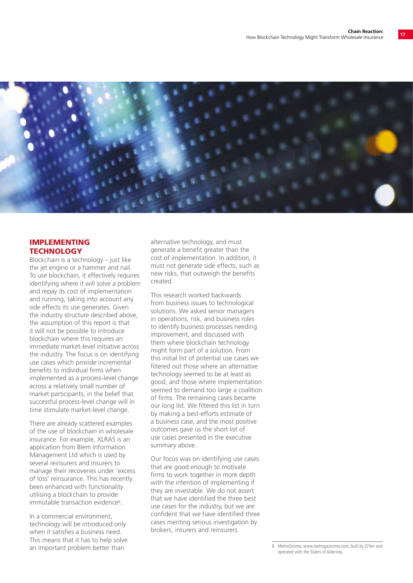

#### IMPLEMENTING **TECHNOLOGY**

Blockchain is a technology – just like the jet engine or a hammer and nail. To use blockchain, it effectively requires identifying where it will solve a problem and repay its cost of implementation and running, taking into account any side effects its use generates. Given the industry structure described above, the assumption of this report is that it will not be possible to introduce blockchain where this requires an immediate market-level initiative across the industry. The focus is on identifying use cases which provide incremental benefits to individual firms when implemented as a process-level change across a relatively small number of market participants, in the belief that successful process-level change will in time stimulate market-level change.

There are already scattered examples of the use of blockchain in wholesale insurance. For example, XLRAS is an application from Blem Information Management Ltd which is used by several reinsurers and insurers to manage their recoveries under 'excess of loss' reinsurance. This has recently been enhanced with functionality utilising a blockchain to provide immutable transaction evidence<sup>6</sup>.

In a commercial environment, technology will be introduced only when it satisfies a business need. This means that it has to help solve an important problem better than

alternative technology, and must generate a benefit greater than the cost of implementation. In addition, it must not generate side effects, such as new risks, that outweigh the benefits created.

This research worked backwards from business issues to technological solutions. We asked senior managers in operations, risk, and business roles to identify business processes needing improvement, and discussed with them where blockchain technology might form part of a solution. From this initial list of potential use cases we filtered out those where an alternative technology seemed to be at least as good, and those where implementation seemed to demand too large a coalition of firms. The remaining cases became our long list. We filtered this list in turn by making a best-efforts estimate of a business case, and the most positive outcomes gave us the short list of use cases presented in the executive summary above.

Our focus was on identifying use cases that are good enough to motivate firms to work together in more depth with the intention of implementing if they are investable. We do not assert that we have identified the three best use cases for the industry, but we are confident that we have identified three cases meriting serious investigation by brokers, insurers and reinsurers.

<sup>6</sup> MetroGnomo, www.metrogxznomo.com, built by Z/Yen and operated with the States of Alderney.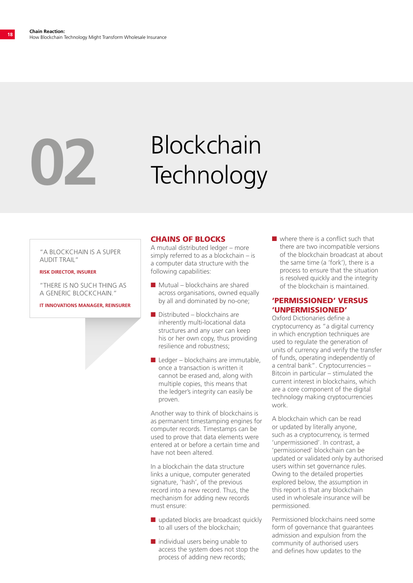# Blockchain **02** Technology

"A BLOCKCHAIN IS A SUPER AUDIT TRAIL"

#### **RISK DIRECTOR, INSURER**

"THERE IS NO SUCH THING AS A GENERIC BLOCKCHAIN."

**IT INNOVATIONS MANAGER, REINSURER**

#### CHAINS OF BLOCKS

A mutual distributed ledger – more simply referred to as a blockchain – is a computer data structure with the following capabilities:

- $\blacksquare$  Mutual blockchains are shared across organisations, owned equally by all and dominated by no-one;
- $\blacksquare$  Distributed blockchains are inherently multi-locational data structures and any user can keep his or her own copy, thus providing resilience and robustness;
- $\blacksquare$  Ledger blockchains are immutable, once a transaction is written it cannot be erased and, along with multiple copies, this means that the ledger's integrity can easily be proven.

Another way to think of blockchains is as permanent timestamping engines for computer records. Timestamps can be used to prove that data elements were entered at or before a certain time and have not been altered.

In a blockchain the data structure links a unique, computer generated signature, 'hash', of the previous record into a new record. Thus, the mechanism for adding new records must ensure:

- $\blacksquare$  updated blocks are broadcast quickly to all users of the blockchain;
- $\blacksquare$  individual users being unable to access the system does not stop the process of adding new records;

 $\blacksquare$  where there is a conflict such that there are two incompatible versions of the blockchain broadcast at about the same time (a 'fork'), there is a process to ensure that the situation is resolved quickly and the integrity of the blockchain is maintained.

#### 'PERMISSIONED' VERSUS 'UNPERMISSIONED'

Oxford Dictionaries define a cryptocurrency as "a digital currency in which encryption techniques are used to regulate the generation of units of currency and verify the transfer of funds, operating independently of a central bank". Cryptocurrencies – Bitcoin in particular – stimulated the current interest in blockchains, which are a core component of the digital technology making cryptocurrencies work.

A blockchain which can be read or updated by literally anyone, such as a cryptocurrency, is termed 'unpermissioned'. In contrast, a 'permissioned' blockchain can be updated or validated only by authorised users within set governance rules. Owing to the detailed properties explored below, the assumption in this report is that any blockchain used in wholesale insurance will be permissioned.

Permissioned blockchains need some form of governance that guarantees admission and expulsion from the community of authorised users and defines how updates to the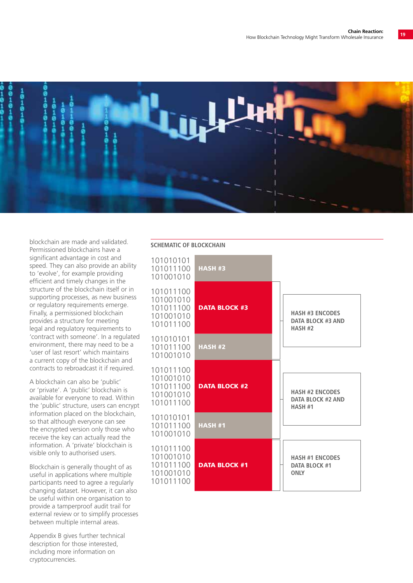

blockchain are made and validated. Permissioned blockchains have a significant advantage in cost and speed. They can also provide an ability to 'evolve', for example providing efficient and timely changes in the structure of the blockchain itself or in supporting processes, as new business or regulatory requirements emerge. Finally, a permissioned blockchain provides a structure for meeting legal and regulatory requirements to 'contract with someone'. In a regulated environment, there may need to be a 'user of last resort' which maintains a current copy of the blockchain and contracts to rebroadcast it if required.

A blockchain can also be 'public' or 'private'. A 'public' blockchain is available for everyone to read. Within the 'public' structure, users can encrypt information placed on the blockchain, so that although everyone can see the encrypted version only those who receive the key can actually read the information. A 'private' blockchain is visible only to authorised users.

Blockchain is generally thought of as useful in applications where multiple participants need to agree a regularly changing dataset. However, it can also be useful within one organisation to provide a tamperproof audit trail for external review or to simplify processes between multiple internal areas.

Appendix B gives further technical description for those interested, including more information on cryptocurrencies.

#### **SCHEMATIC OF BLOCKCHAIN**

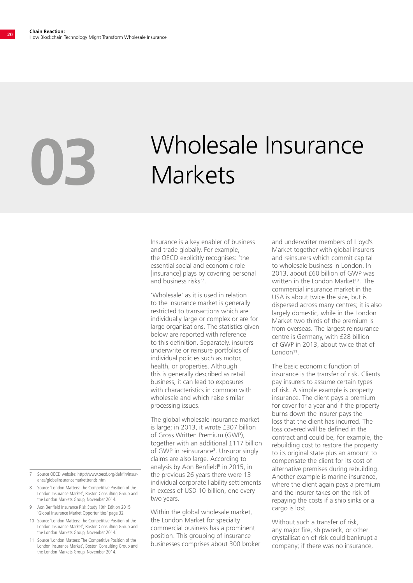## Wholesale Insurance<br>Markets

Insurance is a key enabler of business and trade globally. For example, the OECD explicitly recognises: 'the essential social and economic role [insurance] plays by covering personal and business risks'7 .

'Wholesale' as it is used in relation to the insurance market is generally restricted to transactions which are individually large or complex or are for large organisations. The statistics given below are reported with reference to this definition. Separately, insurers underwrite or reinsure portfolios of individual policies such as motor, health, or properties. Although this is generally described as retail business, it can lead to exposures with characteristics in common with wholesale and which raise similar processing issues.

The global wholesale insurance market is large; in 2013, it wrote £307 billion of Gross Written Premium (GWP), together with an additional £117 billion of GWP in reinsurance<sup>8</sup>. Unsurprisingly claims are also large. According to analysis by Aon Benfield<sup>9</sup> in 2015, in the previous 26 years there were 13 individual corporate liability settlements in excess of USD 10 billion, one every two years.

Within the global wholesale market, the London Market for specialty commercial business has a prominent position. This grouping of insurance businesses comprises about 300 broker and underwriter members of Lloyd's Market together with global insurers and reinsurers which commit capital to wholesale business in London. In 2013, about £60 billion of GWP was written in the London Market<sup>10</sup>. The commercial insurance market in the USA is about twice the size, but is dispersed across many centres; it is also largely domestic, while in the London Market two thirds of the premium is from overseas. The largest reinsurance centre is Germany, with £28 billion of GWP in 2013, about twice that of London<sup>11</sup>.

The basic economic function of insurance is the transfer of risk. Clients pay insurers to assume certain types of risk. A simple example is property insurance. The client pays a premium for cover for a year and if the property burns down the insurer pays the loss that the client has incurred. The loss covered will be defined in the contract and could be, for example, the rebuilding cost to restore the property to its original state plus an amount to compensate the client for its cost of alternative premises during rebuilding. Another example is marine insurance, where the client again pays a premium and the insurer takes on the risk of repaying the costs if a ship sinks or a cargo is lost.

Without such a transfer of risk, any major fire, shipwreck, or other crystallisation of risk could bankrupt a company; if there was no insurance,

- 7 Source OECD website: http://www.oecd.org/daf/fin/insurance/globalinsurancemarkettrends.htm
- 8 Source 'London Matters: The Competitive Position of the London Insurance Market', Boston Consulting Group and the London Markets Group, November 2014.
- 9 Aon Benfield Insurance Risk Study 10th Edition 2015 'Global Insurance Market Opportunities' page 32
- 10 Source 'London Matters: The Competitive Position of the London Insurance Market', Boston Consulting Group and the London Markets Group, November 2014.
- 11 Source 'London Matters: The Competitive Position of the London Insurance Market', Boston Consulting Group and the London Markets Group, November 2014.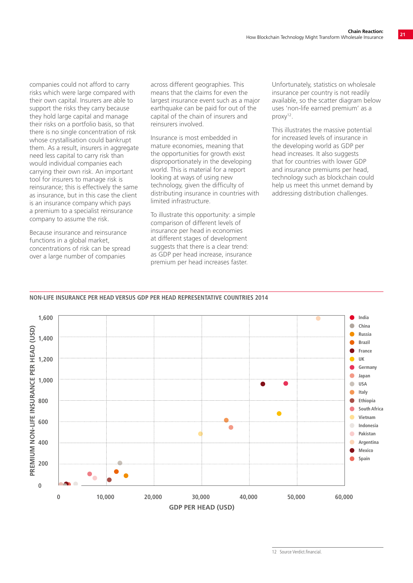companies could not afford to carry risks which were large compared with their own capital. Insurers are able to support the risks they carry because they hold large capital and manage their risks on a portfolio basis, so that there is no single concentration of risk whose crystallisation could bankrupt them. As a result, insurers in aggregate need less capital to carry risk than would individual companies each carrying their own risk. An important tool for insurers to manage risk is reinsurance; this is effectively the same as insurance, but in this case the client is an insurance company which pays a premium to a specialist reinsurance company to assume the risk.

Because insurance and reinsurance functions in a global market, concentrations of risk can be spread over a large number of companies

across different geographies. This means that the claims for even the largest insurance event such as a major earthquake can be paid for out of the capital of the chain of insurers and reinsurers involved.

Insurance is most embedded in mature economies, meaning that the opportunities for growth exist disproportionately in the developing world. This is material for a report looking at ways of using new technology, given the difficulty of distributing insurance in countries with limited infrastructure.

To illustrate this opportunity: a simple comparison of different levels of insurance per head in economies at different stages of development suggests that there is a clear trend: as GDP per head increase, insurance premium per head increases faster.

Unfortunately, statistics on wholesale insurance per country is not readily available, so the scatter diagram below uses 'non-life earned premium' as a proxy12.

This illustrates the massive potential for increased levels of insurance in the developing world as GDP per head increases. It also suggests that for countries with lower GDP and insurance premiums per head, technology such as blockchain could help us meet this unmet demand by addressing distribution challenges.

#### **NON-LIFE INSURANCE PER HEAD VERSUS GDP PER HEAD REPRESENTATIVE COUNTRIES 2014**



<sup>12</sup> Source Verdict financial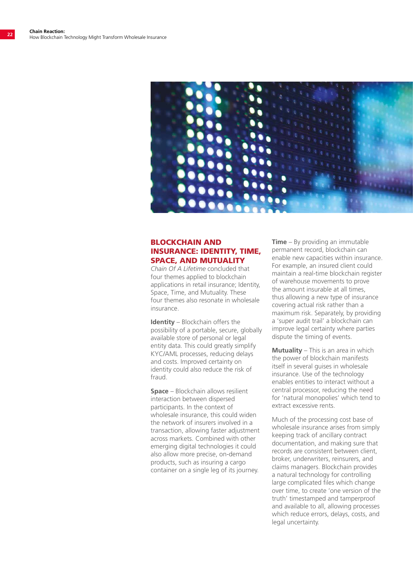

#### BLOCKCHAIN AND INSURANCE: IDENTITY, TIME, SPACE, AND MUTUALITY

*Chain Of A Lifetime* concluded that four themes applied to blockchain applications in retail insurance; Identity, Space, Time, and Mutuality. These four themes also resonate in wholesale insurance.

**Identity** – Blockchain offers the possibility of a portable, secure, globally available store of personal or legal entity data. This could greatly simplify KYC/AML processes, reducing delays and costs. Improved certainty on identity could also reduce the risk of fraud.

**Space** – Blockchain allows resilient interaction between dispersed participants. In the context of wholesale insurance, this could widen the network of insurers involved in a transaction, allowing faster adjustment across markets. Combined with other emerging digital technologies it could also allow more precise, on-demand products, such as insuring a cargo container on a single leg of its journey.

**Time** – By providing an immutable permanent record, blockchain can enable new capacities within insurance. For example, an insured client could maintain a real-time blockchain register of warehouse movements to prove the amount insurable at all times, thus allowing a new type of insurance covering actual risk rather than a maximum risk. Separately, by providing a 'super audit trail' a blockchain can improve legal certainty where parties dispute the timing of events.

**Mutuality** – This is an area in which the power of blockchain manifests itself in several guises in wholesale insurance. Use of the technology enables entities to interact without a central processor, reducing the need for 'natural monopolies' which tend to extract excessive rents.

Much of the processing cost base of wholesale insurance arises from simply keeping track of ancillary contract documentation, and making sure that records are consistent between client, broker, underwriters, reinsurers, and claims managers. Blockchain provides a natural technology for controlling large complicated files which change over time, to create 'one version of the truth' timestamped and tamperproof and available to all, allowing processes which reduce errors, delays, costs, and legal uncertainty.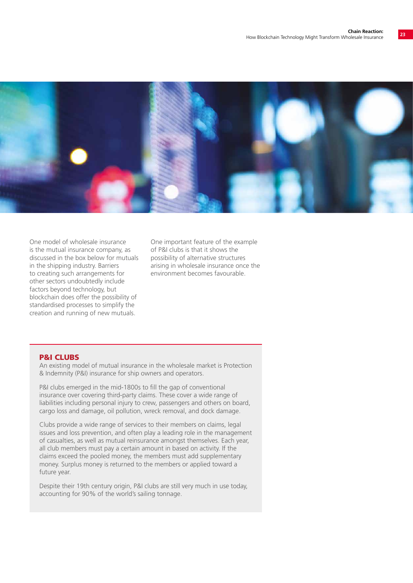

One model of wholesale insurance is the mutual insurance company, as discussed in the box below for mutuals in the shipping industry. Barriers to creating such arrangements for other sectors undoubtedly include factors beyond technology, but blockchain does offer the possibility of standardised processes to simplify the creation and running of new mutuals.

One important feature of the example of P&I clubs is that it shows the possibility of alternative structures arising in wholesale insurance once the environment becomes favourable.

#### P&I CLUBS

An existing model of mutual insurance in the wholesale market is Protection & Indemnity (P&I) insurance for ship owners and operators.

P&I clubs emerged in the mid-1800s to fill the gap of conventional insurance over covering third-party claims. These cover a wide range of liabilities including personal injury to crew, passengers and others on board, cargo loss and damage, oil pollution, wreck removal, and dock damage.

Clubs provide a wide range of services to their members on claims, legal issues and loss prevention, and often play a leading role in the management of casualties, as well as mutual reinsurance amongst themselves. Each year, all club members must pay a certain amount in based on activity. If the claims exceed the pooled money, the members must add supplementary money. Surplus money is returned to the members or applied toward a future year.

Despite their 19th century origin, P&I clubs are still very much in use today, accounting for 90% of the world's sailing tonnage.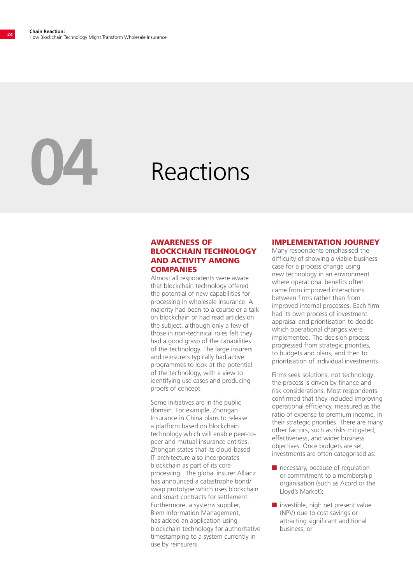## **04** Reactions

#### AWARENESS OF BLOCKCHAIN TECHNOLOGY AND ACTIVITY AMONG **COMPANIES**

Almost all respondents were aware that blockchain technology offered the potential of new capabilities for processing in wholesale insurance. A majority had been to a course or a talk on blockchain or had read articles on the subject, although only a few of those in non-technical roles felt they had a good grasp of the capabilities of the technology. The large insurers and reinsurers typically had active programmes to look at the potential of the technology, with a view to identifying use cases and producing proofs of concept.

Some initiatives are in the public domain. For example, Zhongan Insurance in China plans to release a platform based on blockchain technology which will enable peer-topeer and mutual insurance entities. Zhongan states that its cloud-based IT architecture also incorporates blockchain as part of its core processing. The global insurer Allianz has announced a catastrophe bond/ swap prototype which uses blockchain and smart contracts for settlement. Furthermore, a systems supplier, Blem Information Management, has added an application using blockchain technology for authoritative timestamping to a system currently in use by reinsurers.

#### IMPLEMENTATION JOURNEY

Many respondents emphasised the difficulty of showing a viable business case for a process change using new technology in an environment where operational benefits often came from improved interactions between firms rather than from improved internal processes. Each firm had its own process of investment appraisal and prioritisation to decide which operational changes were implemented. The decision process progressed from strategic priorities, to budgets and plans, and then to prioritisation of individual investments.

Firms seek solutions, not technology; the process is driven by finance and risk considerations. Most respondents confirmed that they included improving operational efficiency, measured as the ratio of expense to premium income, in their strategic priorities. There are many other factors, such as risks mitigated, effectiveness, and wider business objectives. Once budgets are set, investments are often categorised as:

- $\blacksquare$  necessary, because of regulation or commitment to a membership organisation (such as Acord or the Lloyd's Market);
- $\blacksquare$  investible, high net present value (NPV) due to cost savings or attracting significant additional business; or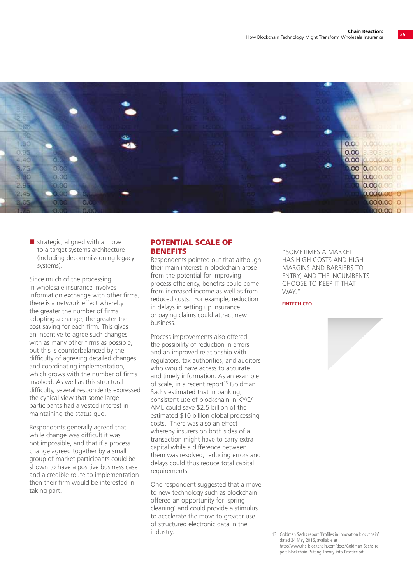

 $\blacksquare$  strategic, aligned with a move to a target systems architecture (including decommissioning legacy systems).

Since much of the processing in wholesale insurance involves information exchange with other firms, there is a network effect whereby the greater the number of firms adopting a change, the greater the cost saving for each firm. This gives an incentive to agree such changes with as many other firms as possible. but this is counterbalanced by the difficulty of agreeing detailed changes and coordinating implementation, which grows with the number of firms involved. As well as this structural difficulty, several respondents expressed the cynical view that some large participants had a vested interest in maintaining the status quo.

Respondents generally agreed that while change was difficult it was not impossible, and that if a process change agreed together by a small group of market participants could be shown to have a positive business case and a credible route to implementation then their firm would be interested in taking part.

#### POTENTIAL SCALE OF **BENEFITS**

Respondents pointed out that although their main interest in blockchain arose from the potential for improving process efficiency, benefits could come from increased income as well as from reduced costs. For example, reduction in delays in setting up insurance or paying claims could attract new business.

Process improvements also offered the possibility of reduction in errors and an improved relationship with regulators, tax authorities, and auditors who would have access to accurate and timely information. As an example of scale, in a recent report<sup>13</sup> Goldman Sachs estimated that in banking, consistent use of blockchain in KYC/ AML could save \$2.5 billion of the estimated \$10 billion global processing costs. There was also an effect whereby insurers on both sides of a transaction might have to carry extra capital while a difference between them was resolved; reducing errors and delays could thus reduce total capital requirements.

One respondent suggested that a move to new technology such as blockchain offered an opportunity for 'spring cleaning' and could provide a stimulus to accelerate the move to greater use of structured electronic data in the industry.

"SOMETIMES A MARKET HAS HIGH COSTS AND HIGH MARGINS AND BARRIERS TO ENTRY, AND THE INCUMBENTS CHOOSE TO KEEP IT THAT WAY."

**FINTECH CEO**

<sup>13</sup> Goldman Sachs report 'Profiles in Innovation blockchain' dated 24 May 2016, available at http://www.the-blockchain.com/docs/Goldman-Sachs-report-blockchain-Putting-Theory-into-Practice.pdf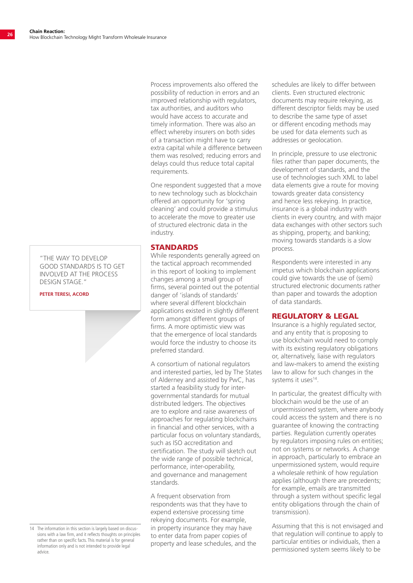"THE WAY TO DEVELOP GOOD STANDARDS IS TO GET INVOLVED AT THE PROCESS DESIGN STAGE."

**PETER TERESI, ACORD**

Process improvements also offered the possibility of reduction in errors and an improved relationship with regulators, tax authorities, and auditors who would have access to accurate and timely information. There was also an effect whereby insurers on both sides of a transaction might have to carry extra capital while a difference between them was resolved; reducing errors and delays could thus reduce total capital requirements.

One respondent suggested that a move to new technology such as blockchain offered an opportunity for 'spring cleaning' and could provide a stimulus to accelerate the move to greater use of structured electronic data in the industry.

#### **STANDARDS**

While respondents generally agreed on the tactical approach recommended in this report of looking to implement changes among a small group of firms, several pointed out the potential danger of 'islands of standards' where several different blockchain applications existed in slightly different form amongst different groups of firms. A more optimistic view was that the emergence of local standards would force the industry to choose its preferred standard.

A consortium of national regulators and interested parties, led by The States of Alderney and assisted by PwC, has started a feasibility study for intergovernmental standards for mutual distributed ledgers. The objectives are to explore and raise awareness of approaches for regulating blockchains in financial and other services, with a particular focus on voluntary standards, such as ISO accreditation and certification. The study will sketch out the wide range of possible technical, performance, inter-operability, and governance and management standards.

A frequent observation from respondents was that they have to expend extensive processing time rekeying documents. For example, in property insurance they may have to enter data from paper copies of property and lease schedules, and the schedules are likely to differ between clients. Even structured electronic documents may require rekeying, as different descriptor fields may be used to describe the same type of asset or different encoding methods may be used for data elements such as addresses or geolocation.

In principle, pressure to use electronic files rather than paper documents, the development of standards, and the use of technologies such XML to label data elements give a route for moving towards greater data consistency and hence less rekeying. In practice, insurance is a global industry with clients in every country, and with major data exchanges with other sectors such as shipping, property, and banking; moving towards standards is a slow process.

Respondents were interested in any impetus which blockchain applications could give towards the use of (semi) structured electronic documents rather than paper and towards the adoption of data standards.

#### REGULATORY & LEGAL

Insurance is a highly regulated sector, and any entity that is proposing to use blockchain would need to comply with its existing regulatory obligations or, alternatively, liaise with regulators and law-makers to amend the existing law to allow for such changes in the systems it uses<sup>14</sup>.

In particular, the greatest difficulty with blockchain would be the use of an unpermissioned system, where anybody could access the system and there is no guarantee of knowing the contracting parties. Regulation currently operates by regulators imposing rules on entities; not on systems or networks. A change in approach, particularly to embrace an unpermissioned system, would require a wholesale rethink of how regulation applies (although there are precedents; for example, emails are transmitted through a system without specific legal entity obligations through the chain of transmission).

Assuming that this is not envisaged and that regulation will continue to apply to particular entities or individuals, then a permissioned system seems likely to be

<sup>14</sup> The information in this section is largely based on discussions with a law firm, and it reflects thoughts on principles rather than on specific facts. This material is for general information only and is not intended to provide legal advice.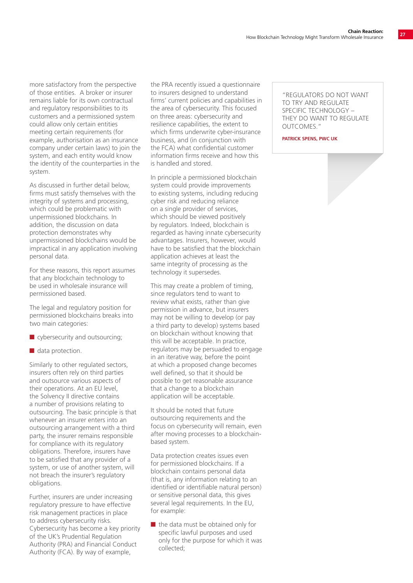more satisfactory from the perspective of those entities. A broker or insurer remains liable for its own contractual and regulatory responsibilities to its customers and a permissioned system could allow only certain entities meeting certain requirements (for example, authorisation as an insurance company under certain laws) to join the system, and each entity would know the identity of the counterparties in the system.

As discussed in further detail below, firms must satisfy themselves with the integrity of systems and processing, which could be problematic with unpermissioned blockchains. In addition, the discussion on data protection demonstrates why unpermissioned blockchains would be impractical in any application involving personal data.

For these reasons, this report assumes that any blockchain technology to be used in wholesale insurance will permissioned based.

The legal and regulatory position for permissioned blockchains breaks into two main categories:

- $\blacksquare$  cybersecurity and outsourcing;
- $\blacksquare$  data protection.

Similarly to other regulated sectors, insurers often rely on third parties and outsource various aspects of their operations. At an EU level, the Solvency II directive contains a number of provisions relating to outsourcing. The basic principle is that whenever an insurer enters into an outsourcing arrangement with a third party, the insurer remains responsible for compliance with its regulatory obligations. Therefore, insurers have to be satisfied that any provider of a system, or use of another system, will not breach the insurer's regulatory obligations.

Further, insurers are under increasing regulatory pressure to have effective risk management practices in place to address cybersecurity risks. Cybersecurity has become a key priority of the UK's Prudential Regulation Authority (PRA) and Financial Conduct Authority (FCA). By way of example,

the PRA recently issued a questionnaire to insurers designed to understand firms' current policies and capabilities in the area of cybersecurity. This focused on three areas: cybersecurity and resilience capabilities, the extent to which firms underwrite cyber-insurance business, and (in conjunction with the FCA) what confidential customer information firms receive and how this is handled and stored.

In principle a permissioned blockchain system could provide improvements to existing systems, including reducing cyber risk and reducing reliance on a single provider of services, which should be viewed positively by regulators. Indeed, blockchain is regarded as having innate cybersecurity advantages. Insurers, however, would have to be satisfied that the blockchain application achieves at least the same integrity of processing as the technology it supersedes.

This may create a problem of timing, since regulators tend to want to review what exists, rather than give permission in advance, but insurers may not be willing to develop (or pay a third party to develop) systems based on blockchain without knowing that this will be acceptable. In practice, regulators may be persuaded to engage in an iterative way, before the point at which a proposed change becomes well defined, so that it should be possible to get reasonable assurance that a change to a blockchain application will be acceptable.

It should be noted that future outsourcing requirements and the focus on cybersecurity will remain, even after moving processes to a blockchainbased system.

Data protection creates issues even for permissioned blockchains. If a blockchain contains personal data (that is, any information relating to an identified or identifiable natural person) or sensitive personal data, this gives several legal requirements. In the EU, for example:

 $\blacksquare$  the data must be obtained only for specific lawful purposes and used only for the purpose for which it was collected;

"REGULATORS DO NOT WANT TO TRY AND REGULATE SPECIFIC TECHNOLOGY – THEY DO WANT TO REGULATE OUTCOMES."

**PATRICK SPENS, PWC UK**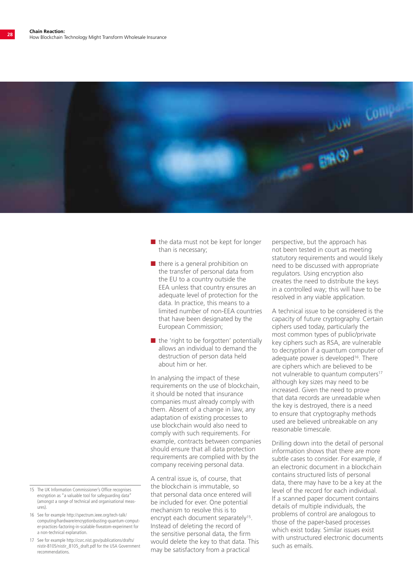

- $\blacksquare$  the data must not be kept for longer than is necessary;
- $\blacksquare$  there is a general prohibition on the transfer of personal data from the EU to a country outside the EEA unless that country ensures an adequate level of protection for the data. In practice, this means to a limited number of non-EEA countries that have been designated by the European Commission;
- $\blacksquare$  the 'right to be forgotten' potentially allows an individual to demand the destruction of person data held about him or her.

In analysing the impact of these requirements on the use of blockchain, it should be noted that insurance companies must already comply with them. Absent of a change in law, any adaptation of existing processes to use blockchain would also need to comply with such requirements. For example, contracts between companies should ensure that all data protection requirements are complied with by the company receiving personal data.

A central issue is, of course, that the blockchain is immutable, so that personal data once entered will be included for ever. One potential mechanism to resolve this is to encrypt each document separately<sup>15</sup>. Instead of deleting the record of the sensitive personal data, the firm would delete the key to that data. This may be satisfactory from a practical

perspective, but the approach has not been tested in court as meeting statutory requirements and would likely need to be discussed with appropriate regulators. Using encryption also creates the need to distribute the keys in a controlled way; this will have to be resolved in any viable application.

A technical issue to be considered is the capacity of future cryptography. Certain ciphers used today, particularly the most common types of public/private key ciphers such as RSA, are vulnerable to decryption if a quantum computer of adequate power is developed<sup>16</sup>. There are ciphers which are believed to be not vulnerable to quantum computers<sup>17</sup> although key sizes may need to be increased. Given the need to prove that data records are unreadable when the key is destroyed, there is a need to ensure that cryptography methods used are believed unbreakable on any reasonable timescale.

Drilling down into the detail of personal information shows that there are more subtle cases to consider. For example, if an electronic document in a blockchain contains structured lists of personal data, there may have to be a key at the level of the record for each individual. If a scanned paper document contains details of multiple individuals, the problems of control are analogous to those of the paper-based processes which exist today. Similar issues exist with unstructured electronic documents such as emails.

- 15 The UK Information Commissioner's Office recognises encryption as "a valuable tool for safeguarding data' (amongst a range of technical and organisational measures).
- 16 See for example http://spectrum.ieee.org/tech-talk/ computing/hardware/encryptionbusting-quantum-computer-practices-factoring-in-scalable-fiveatom-experiment for a non-technical explanation.
- 17 See for example http://csrc.nist.gov/publications/drafts/ nistir-8105/nistir\_8105\_draft.pdf for the USA Government recommendations.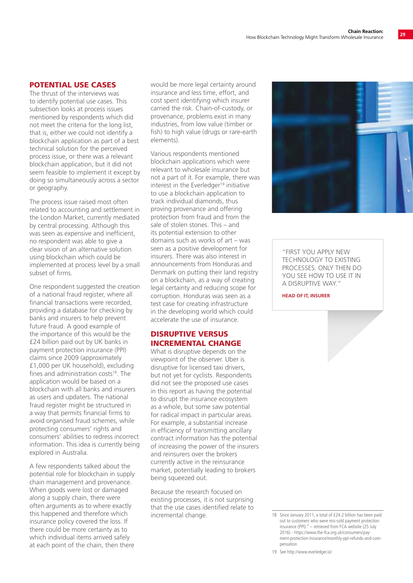#### POTENTIAL USE CASES

The thrust of the interviews was to identify potential use cases. This subsection looks at process issues mentioned by respondents which did not meet the criteria for the long list, that is, either we could not identify a blockchain application as part of a best technical solution for the perceived process issue, or there was a relevant blockchain application, but it did not seem feasible to implement it except by doing so simultaneously across a sector or geography.

The process issue raised most often related to accounting and settlement in the London Market, currently mediated by central processing. Although this was seen as expensive and inefficient. no respondent was able to give a clear vision of an alternative solution using blockchain which could be implemented at process level by a small subset of firms.

One respondent suggested the creation of a national fraud register, where all financial transactions were recorded, providing a database for checking by banks and insurers to help prevent future fraud. A good example of the importance of this would be the £24 billion paid out by UK banks in payment protection insurance (PPI) claims since 2009 (approximately £1,000 per UK household), excluding fines and administration costs $18$ . The application would be based on a blockchain with all banks and insurers as users and updaters. The national fraud register might be structured in a way that permits financial firms to avoid organised fraud schemes, while protecting consumers' rights and consumers' abilities to redress incorrect information. This idea is currently being explored in Australia.

A few respondents talked about the potential role for blockchain in supply chain management and provenance. When goods were lost or damaged along a supply chain, there were often arguments as to where exactly this happened and therefore which insurance policy covered the loss. If there could be more certainty as to which individual items arrived safely at each point of the chain, then there

would be more legal certainty around insurance and less time, effort, and cost spent identifying which insurer carried the risk. Chain-of-custody, or provenance, problems exist in many industries, from low value (timber or fish) to high value (drugs or rare-earth elements).

Various respondents mentioned blockchain applications which were relevant to wholesale insurance but not a part of it. For example, there was interest in the Everledger<sup>19</sup> initiative to use a blockchain application to track individual diamonds, thus proving provenance and offering protection from fraud and from the sale of stolen stones. This – and its potential extension to other domains such as works of art – was seen as a positive development for insurers. There was also interest in announcements from Honduras and Denmark on putting their land registry on a blockchain, as a way of creating legal certainty and reducing scope for corruption. Honduras was seen as a test case for creating infrastructure in the developing world which could accelerate the use of insurance.

#### DISRUPTIVE VERSUS INCREMENTAL CHANGE

What is disruptive depends on the viewpoint of the observer. Uber is disruptive for licensed taxi drivers, but not yet for cyclists. Respondents did not see the proposed use cases in this report as having the potential to disrupt the insurance ecosystem as a whole, but some saw potential for radical impact in particular areas. For example, a substantial increase in efficiency of transmitting ancillary contract information has the potential of increasing the power of the insurers and reinsurers over the brokers currently active in the reinsurance market, potentially leading to brokers being squeezed out.

Because the research focused on existing processes, it is not surprising that the use cases identified relate to incremental change. 18 Since January 2011, a total of £24.2 billion has been paid



"FIRST YOU APPLY NEW TECHNOLOGY TO EXISTING PROCESSES. ONLY THEN DO YOU SEE HOW TO USE IT IN A DISRUPTIVE WAY."

#### **HEAD OF IT, INSURER**

19 See http://www.everledger.io/

out to customers who were mis-sold payment protection insurance (PPI)." – retrieved from FCA website (25 July 2016) - https://www.the-fca.org.uk/consumers/payment-protection-insurance/monthly-ppi-refunds-and-compensation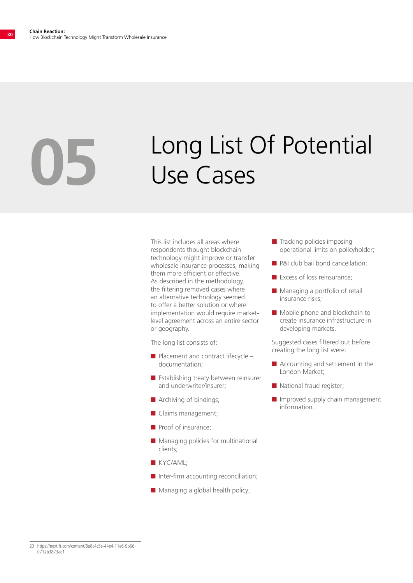# Long List Of Potential **05** Use Cases

This list includes all areas where respondents thought blockchain technology might improve or transfer wholesale insurance processes, making them more efficient or effective. As described in the methodology, the filtering removed cases where an alternative technology seemed to offer a better solution or where implementation would require marketlevel agreement across an entire sector or geography.

The long list consists of:

- $\blacksquare$  Placement and contract lifecycle documentation;
- $\blacksquare$  Establishing treaty between reinsurer and underwriter/insurer;
- $\blacksquare$  Archiving of bindings;
- $\blacksquare$  Claims management;
- $\blacksquare$  Proof of insurance:
- $\blacksquare$  Managing policies for multinational clients;
- **N** KYC/AML;
- $\blacksquare$  Inter-firm accounting reconciliation;
- $\blacksquare$  Managing a global health policy;
- $\blacksquare$  Tracking policies imposing operational limits on policyholder;
- **n** P&I club bail bond cancellation;
- $\blacksquare$  Excess of loss reinsurance:
- $\blacksquare$  Managing a portfolio of retail insurance risks;
- $\blacksquare$  Mobile phone and blockchain to create insurance infrastructure in developing markets.

Suggested cases filtered out before creating the long list were:

- $\blacksquare$  Accounting and settlement in the London Market;
- $\blacksquare$  National fraud register;
- $\blacksquare$  Improved supply chain management information.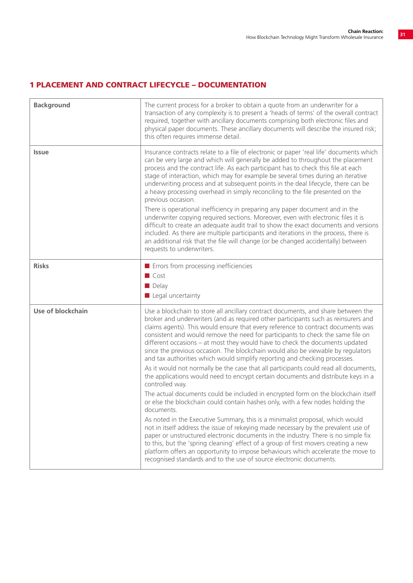#### 1 PLACEMENT AND CONTRACT LIFECYCLE – DOCUMENTATION

| <b>Background</b> | The current process for a broker to obtain a quote from an underwriter for a<br>transaction of any complexity is to present a 'heads of terms' of the overall contract<br>required, together with ancillary documents comprising both electronic files and<br>physical paper documents. These ancillary documents will describe the insured risk;<br>this often requires immense detail.                                                                                                                                                                                                                                                                                                                                                                                                                                                                                                                                                                                                                                |
|-------------------|-------------------------------------------------------------------------------------------------------------------------------------------------------------------------------------------------------------------------------------------------------------------------------------------------------------------------------------------------------------------------------------------------------------------------------------------------------------------------------------------------------------------------------------------------------------------------------------------------------------------------------------------------------------------------------------------------------------------------------------------------------------------------------------------------------------------------------------------------------------------------------------------------------------------------------------------------------------------------------------------------------------------------|
| <b>Issue</b>      | Insurance contracts relate to a file of electronic or paper 'real life' documents which<br>can be very large and which will generally be added to throughout the placement<br>process and the contract life. As each participant has to check this file at each<br>stage of interaction, which may for example be several times during an iterative<br>underwriting process and at subsequent points in the deal lifecycle, there can be<br>a heavy processing overhead in simply reconciling to the file presented on the<br>previous occasion.<br>There is operational inefficiency in preparing any paper document and in the<br>underwriter copying required sections. Moreover, even with electronic files it is<br>difficult to create an adequate audit trail to show the exact documents and versions<br>included. As there are multiple participants and iterations in the process, there is<br>an additional risk that the file will change (or be changed accidentally) between<br>requests to underwriters. |
| <b>Risks</b>      | Errors from processing inefficiencies<br>$\blacksquare$ Cost<br>$\blacksquare$ Delay<br>$\blacksquare$ Legal uncertainty                                                                                                                                                                                                                                                                                                                                                                                                                                                                                                                                                                                                                                                                                                                                                                                                                                                                                                |
| Use of blockchain | Use a blockchain to store all ancillary contract documents, and share between the<br>broker and underwriters (and as required other participants such as reinsurers and<br>claims agents). This would ensure that every reference to contract documents was<br>consistent and would remove the need for participants to check the same file on<br>different occasions - at most they would have to check the documents updated<br>since the previous occasion. The blockchain would also be viewable by regulators<br>and tax authorities which would simplify reporting and checking processes.<br>As it would not normally be the case that all participants could read all documents,<br>the applications would need to encrypt certain documents and distribute keys in a                                                                                                                                                                                                                                           |
|                   | controlled way.<br>The actual documents could be included in encrypted form on the blockchain itself<br>or else the blockchain could contain hashes only, with a few nodes holding the<br>documents.<br>As noted in the Executive Summary, this is a minimalist proposal, which would<br>not in itself address the issue of rekeying made necessary by the prevalent use of<br>paper or unstructured electronic documents in the industry. There is no simple fix<br>to this, but the 'spring cleaning' effect of a group of first movers creating a new<br>platform offers an opportunity to impose behaviours which accelerate the move to<br>recognised standards and to the use of source electronic documents.                                                                                                                                                                                                                                                                                                     |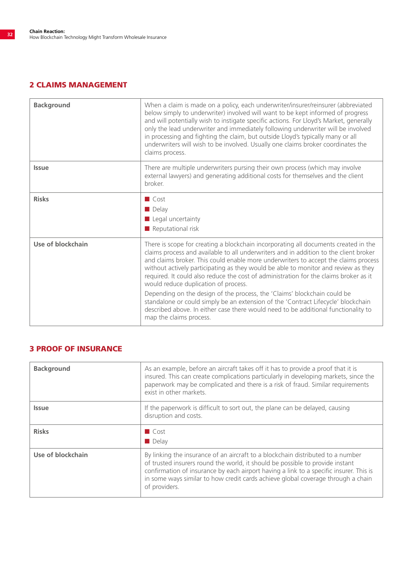### 2 CLAIMS MANAGEMENT

| <b>Background</b> | When a claim is made on a policy, each underwriter/insurer/reinsurer (abbreviated<br>below simply to underwriter) involved will want to be kept informed of progress<br>and will potentially wish to instigate specific actions. For Lloyd's Market, generally<br>only the lead underwriter and immediately following underwriter will be involved<br>in processing and fighting the claim, but outside Lloyd's typically many or all<br>underwriters will wish to be involved. Usually one claims broker coordinates the<br>claims process.                                                                                                                                                                                                                                 |
|-------------------|------------------------------------------------------------------------------------------------------------------------------------------------------------------------------------------------------------------------------------------------------------------------------------------------------------------------------------------------------------------------------------------------------------------------------------------------------------------------------------------------------------------------------------------------------------------------------------------------------------------------------------------------------------------------------------------------------------------------------------------------------------------------------|
| <b>Issue</b>      | There are multiple underwriters pursing their own process (which may involve<br>external lawyers) and generating additional costs for themselves and the client<br><b>broker</b>                                                                                                                                                                                                                                                                                                                                                                                                                                                                                                                                                                                             |
| <b>Risks</b>      | $\Box$ Cost<br>Delay<br>$\blacksquare$ Legal uncertainty<br>$\blacksquare$ Reputational risk                                                                                                                                                                                                                                                                                                                                                                                                                                                                                                                                                                                                                                                                                 |
| Use of blockchain | There is scope for creating a blockchain incorporating all documents created in the<br>claims process and available to all underwriters and in addition to the client broker<br>and claims broker. This could enable more underwriters to accept the claims process<br>without actively participating as they would be able to monitor and review as they<br>required. It could also reduce the cost of administration for the claims broker as it<br>would reduce duplication of process.<br>Depending on the design of the process, the 'Claims' blockchain could be<br>standalone or could simply be an extension of the 'Contract Lifecycle' blockchain<br>described above. In either case there would need to be additional functionality to<br>map the claims process. |

#### 3 PROOF OF INSURANCE

| <b>Background</b> | As an example, before an aircraft takes off it has to provide a proof that it is<br>insured. This can create complications particularly in developing markets, since the<br>paperwork may be complicated and there is a risk of fraud. Similar requirements<br>exist in other markets.                                                                          |
|-------------------|-----------------------------------------------------------------------------------------------------------------------------------------------------------------------------------------------------------------------------------------------------------------------------------------------------------------------------------------------------------------|
| <b>Issue</b>      | If the paperwork is difficult to sort out, the plane can be delayed, causing<br>disruption and costs.                                                                                                                                                                                                                                                           |
| <b>Risks</b>      | $\Box$ Cost<br>$\blacksquare$ Delay                                                                                                                                                                                                                                                                                                                             |
| Use of blockchain | By linking the insurance of an aircraft to a blockchain distributed to a number<br>of trusted insurers round the world, it should be possible to provide instant<br>confirmation of insurance by each airport having a link to a specific insurer. This is<br>in some ways similar to how credit cards achieve global coverage through a chain<br>of providers. |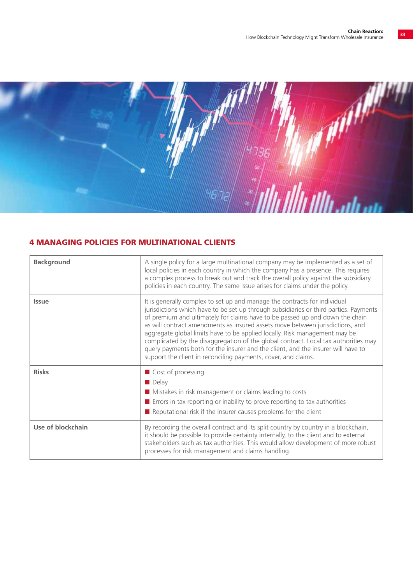

### 4 MANAGING POLICIES FOR MULTINATIONAL CLIENTS

| <b>Background</b> | A single policy for a large multinational company may be implemented as a set of<br>local policies in each country in which the company has a presence. This requires<br>a complex process to break out and track the overall policy against the subsidiary<br>policies in each country. The same issue arises for claims under the policy.                                                                                                                                                                                                                                                                                                                    |
|-------------------|----------------------------------------------------------------------------------------------------------------------------------------------------------------------------------------------------------------------------------------------------------------------------------------------------------------------------------------------------------------------------------------------------------------------------------------------------------------------------------------------------------------------------------------------------------------------------------------------------------------------------------------------------------------|
| <b>Issue</b>      | It is generally complex to set up and manage the contracts for individual<br>jurisdictions which have to be set up through subsidiaries or third parties. Payments<br>of premium and ultimately for claims have to be passed up and down the chain<br>as will contract amendments as insured assets move between jurisdictions, and<br>aggregate global limits have to be applied locally. Risk management may be<br>complicated by the disaggregation of the global contract. Local tax authorities may<br>query payments both for the insurer and the client, and the insurer will have to<br>support the client in reconciling payments, cover, and claims. |
| <b>Risks</b>      | Cost of processing<br>$\blacksquare$ Delay<br>Mistakes in risk management or claims leading to costs<br>$\blacksquare$ Errors in tax reporting or inability to prove reporting to tax authorities<br>$\blacksquare$ Reputational risk if the insurer causes problems for the client                                                                                                                                                                                                                                                                                                                                                                            |
| Use of blockchain | By recording the overall contract and its split country by country in a blockchain,<br>it should be possible to provide certainty internally, to the client and to external<br>stakeholders such as tax authorities. This would allow development of more robust<br>processes for risk management and claims handling.                                                                                                                                                                                                                                                                                                                                         |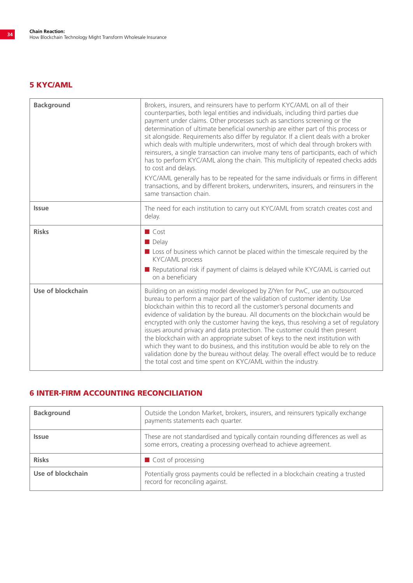### 5 KYC/AML

| <b>Background</b> | Brokers, insurers, and reinsurers have to perform KYC/AML on all of their<br>counterparties, both legal entities and individuals, including third parties due<br>payment under claims. Other processes such as sanctions screening or the<br>determination of ultimate beneficial ownership are either part of this process or<br>sit alongside. Requirements also differ by regulator. If a client deals with a broker<br>which deals with multiple underwriters, most of which deal through brokers with<br>reinsurers, a single transaction can involve many tens of participants, each of which<br>has to perform KYC/AML along the chain. This multiplicity of repeated checks adds<br>to cost and delays.<br>KYC/AML generally has to be repeated for the same individuals or firms in different<br>transactions, and by different brokers, underwriters, insurers, and reinsurers in the<br>same transaction chain. |
|-------------------|----------------------------------------------------------------------------------------------------------------------------------------------------------------------------------------------------------------------------------------------------------------------------------------------------------------------------------------------------------------------------------------------------------------------------------------------------------------------------------------------------------------------------------------------------------------------------------------------------------------------------------------------------------------------------------------------------------------------------------------------------------------------------------------------------------------------------------------------------------------------------------------------------------------------------|
| <b>Issue</b>      | The need for each institution to carry out KYC/AML from scratch creates cost and<br>delay.                                                                                                                                                                                                                                                                                                                                                                                                                                                                                                                                                                                                                                                                                                                                                                                                                                 |
| <b>Risks</b>      | $\Box$ Cost<br>Delay<br>■ Loss of business which cannot be placed within the timescale required by the<br>KYC/AML process<br>Reputational risk if payment of claims is delayed while KYC/AML is carried out<br>on a beneficiary                                                                                                                                                                                                                                                                                                                                                                                                                                                                                                                                                                                                                                                                                            |
| Use of blockchain | Building on an existing model developed by Z/Yen for PwC, use an outsourced<br>bureau to perform a major part of the validation of customer identity. Use<br>blockchain within this to record all the customer's personal documents and<br>evidence of validation by the bureau. All documents on the blockchain would be<br>encrypted with only the customer having the keys, thus resolving a set of regulatory<br>issues around privacy and data protection. The customer could then present<br>the blockchain with an appropriate subset of keys to the next institution with<br>which they want to do business, and this institution would be able to rely on the<br>validation done by the bureau without delay. The overall effect would be to reduce<br>the total cost and time spent on KYC/AML within the industry.                                                                                              |

### 6 INTER-FIRM ACCOUNTING RECONCILIATION

| <b>Background</b> | Outside the London Market, brokers, insurers, and reinsurers typically exchange<br>payments statements each quarter.                                  |
|-------------------|-------------------------------------------------------------------------------------------------------------------------------------------------------|
| <b>Issue</b>      | These are not standardised and typically contain rounding differences as well as<br>some errors, creating a processing overhead to achieve agreement. |
| <b>Risks</b>      | Cost of processing                                                                                                                                    |
| Use of blockchain | Potentially gross payments could be reflected in a blockchain creating a trusted<br>record for reconciling against.                                   |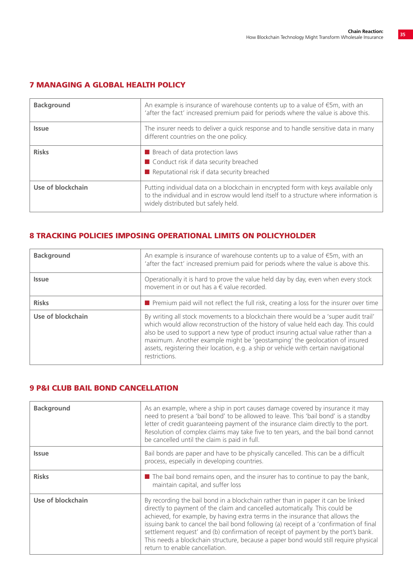| <b>Background</b> | An example is insurance of warehouse contents up to a value of $\epsilon$ 5m, with an<br>'after the fact' increased premium paid for periods where the value is above this.                                        |
|-------------------|--------------------------------------------------------------------------------------------------------------------------------------------------------------------------------------------------------------------|
| <b>Issue</b>      | The insurer needs to deliver a quick response and to handle sensitive data in many<br>different countries on the one policy.                                                                                       |
| <b>Risks</b>      | <b>B</b> Breach of data protection laws<br>■ Conduct risk if data security breached<br>Reputational risk if data security breached                                                                                 |
| Use of blockchain | Putting individual data on a blockchain in encrypted form with keys available only<br>to the individual and in escrow would lend itself to a structure where information is<br>widely distributed but safely held. |

### 7 MANAGING A GLOBAL HEALTH POLICY

### 8 TRACKING POLICIES IMPOSING OPERATIONAL LIMITS ON POLICYHOLDER

| <b>Background</b> | An example is insurance of warehouse contents up to a value of $\epsilon$ 5m, with an<br>'after the fact' increased premium paid for periods where the value is above this.                                                                                                                                                                                                                                                                           |
|-------------------|-------------------------------------------------------------------------------------------------------------------------------------------------------------------------------------------------------------------------------------------------------------------------------------------------------------------------------------------------------------------------------------------------------------------------------------------------------|
| <b>Issue</b>      | Operationally it is hard to prove the value held day by day, even when every stock<br>movement in or out has a $\epsilon$ value recorded.                                                                                                                                                                                                                                                                                                             |
| <b>Risks</b>      | <b>P</b> Premium paid will not reflect the full risk, creating a loss for the insurer over time                                                                                                                                                                                                                                                                                                                                                       |
| Use of blockchain | By writing all stock movements to a blockchain there would be a 'super audit trail'<br>which would allow reconstruction of the history of value held each day. This could<br>also be used to support a new type of product insuring actual value rather than a<br>maximum. Another example might be 'geostamping' the geolocation of insured<br>assets, registering their location, e.g. a ship or vehicle with certain navigational<br>restrictions. |

#### 9 P&I CLUB BAIL BOND CANCELLATION

| <b>Background</b> | As an example, where a ship in port causes damage covered by insurance it may<br>need to present a 'bail bond' to be allowed to leave. This 'bail bond' is a standby<br>letter of credit quaranteeing payment of the insurance claim directly to the port.<br>Resolution of complex claims may take five to ten years, and the bail bond cannot<br>be cancelled until the claim is paid in full.                                                                                                                                                           |
|-------------------|------------------------------------------------------------------------------------------------------------------------------------------------------------------------------------------------------------------------------------------------------------------------------------------------------------------------------------------------------------------------------------------------------------------------------------------------------------------------------------------------------------------------------------------------------------|
| <b>Issue</b>      | Bail bonds are paper and have to be physically cancelled. This can be a difficult<br>process, especially in developing countries.                                                                                                                                                                                                                                                                                                                                                                                                                          |
| <b>Risks</b>      | $\blacksquare$ The bail bond remains open, and the insurer has to continue to pay the bank,<br>maintain capital, and suffer loss                                                                                                                                                                                                                                                                                                                                                                                                                           |
| Use of blockchain | By recording the bail bond in a blockchain rather than in paper it can be linked<br>directly to payment of the claim and cancelled automatically. This could be<br>achieved, for example, by having extra terms in the insurance that allows the<br>issuing bank to cancel the bail bond following (a) receipt of a 'confirmation of final<br>settlement request' and (b) confirmation of receipt of payment by the port's bank.<br>This needs a blockchain structure, because a paper bond would still require physical<br>return to enable cancellation. |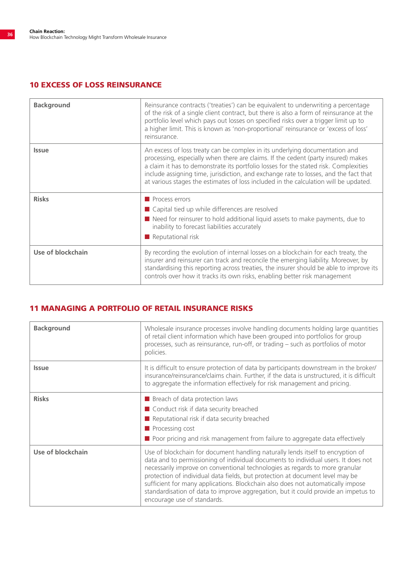#### 10 EXCESS OF LOSS REINSURANCE

| <b>Background</b> | Reinsurance contracts ('treaties') can be equivalent to underwriting a percentage<br>of the risk of a single client contract, but there is also a form of reinsurance at the<br>portfolio level which pays out losses on specified risks over a trigger limit up to<br>a higher limit. This is known as 'non-proportional' reinsurance or 'excess of loss'<br>reinsurance.                                                               |
|-------------------|------------------------------------------------------------------------------------------------------------------------------------------------------------------------------------------------------------------------------------------------------------------------------------------------------------------------------------------------------------------------------------------------------------------------------------------|
| <b>Issue</b>      | An excess of loss treaty can be complex in its underlying documentation and<br>processing, especially when there are claims. If the cedent (party insured) makes<br>a claim it has to demonstrate its portfolio losses for the stated risk. Complexities<br>include assigning time, jurisdiction, and exchange rate to losses, and the fact that<br>at various stages the estimates of loss included in the calculation will be updated. |
| <b>Risks</b>      | Process errors<br>■ Capital tied up while differences are resolved<br>Need for reinsurer to hold additional liquid assets to make payments, due to<br>inability to forecast liabilities accurately<br>$\blacksquare$ Reputational risk                                                                                                                                                                                                   |
| Use of blockchain | By recording the evolution of internal losses on a blockchain for each treaty, the<br>insurer and reinsurer can track and reconcile the emerging liability. Moreover, by<br>standardising this reporting across treaties, the insurer should be able to improve its<br>controls over how it tracks its own risks, enabling better risk management                                                                                        |

#### 11 MANAGING A PORTFOLIO OF RETAIL INSURANCE RISKS

| <b>Background</b> | Wholesale insurance processes involve handling documents holding large quantities<br>of retail client information which have been grouped into portfolios for group<br>processes, such as reinsurance, run-off, or trading - such as portfolios of motor<br>policies.                                                                                                                                                                                                                                                                          |
|-------------------|------------------------------------------------------------------------------------------------------------------------------------------------------------------------------------------------------------------------------------------------------------------------------------------------------------------------------------------------------------------------------------------------------------------------------------------------------------------------------------------------------------------------------------------------|
| <b>Issue</b>      | It is difficult to ensure protection of data by participants downstream in the broker/<br>insurance/reinsurance/claims chain. Further, if the data is unstructured, it is difficult<br>to aggregate the information effectively for risk management and pricing.                                                                                                                                                                                                                                                                               |
| <b>Risks</b>      | Breach of data protection laws<br>■ Conduct risk if data security breached<br>$\blacksquare$ Reputational risk if data security breached<br>$\blacksquare$ Processing cost<br>Poor pricing and risk management from failure to aggregate data effectively                                                                                                                                                                                                                                                                                      |
| Use of blockchain | Use of blockchain for document handling naturally lends itself to encryption of<br>data and to permissioning of individual documents to individual users. It does not<br>necessarily improve on conventional technologies as regards to more granular<br>protection of individual data fields, but protection at document level may be<br>sufficient for many applications. Blockchain also does not automatically impose<br>standardisation of data to improve aggregation, but it could provide an impetus to<br>encourage use of standards. |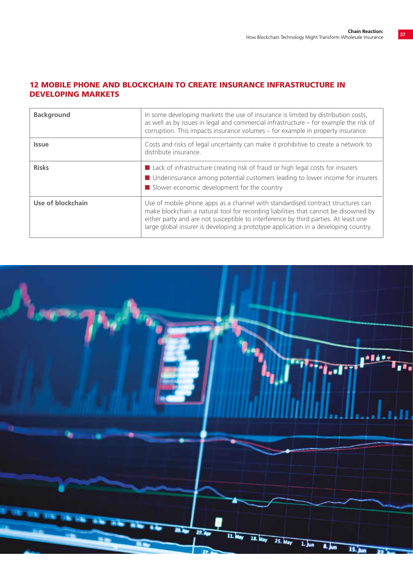#### 12 MOBILE PHONE AND BLOCKCHAIN TO CREATE INSURANCE INFRASTRUCTURE IN DEVELOPING MARKETS

| <b>Background</b> | In some developing markets the use of insurance is limited by distribution costs,<br>as well as by issues in legal and commercial infrastructure - for example the risk of<br>corruption. This impacts insurance volumes – for example in property insurance.                                                                                        |
|-------------------|------------------------------------------------------------------------------------------------------------------------------------------------------------------------------------------------------------------------------------------------------------------------------------------------------------------------------------------------------|
| <b>Issue</b>      | Costs and risks of legal uncertainty can make it prohibitive to create a network to<br>distribute insurance.                                                                                                                                                                                                                                         |
| <b>Risks</b>      | ■ Lack of infrastructure creating risk of fraud or high legal costs for insurers<br>■ Underinsurance among potential customers leading to lower income for insurers<br>$\blacksquare$ Slower economic development for the country                                                                                                                    |
| Use of blockchain | Use of mobile phone apps as a channel with standardised contract structures can<br>make blockchain a natural tool for recording liabilities that cannot be disowned by<br>either party and are not susceptible to interference by third parties. At least one<br>large global insurer is developing a prototype application in a developing country. |

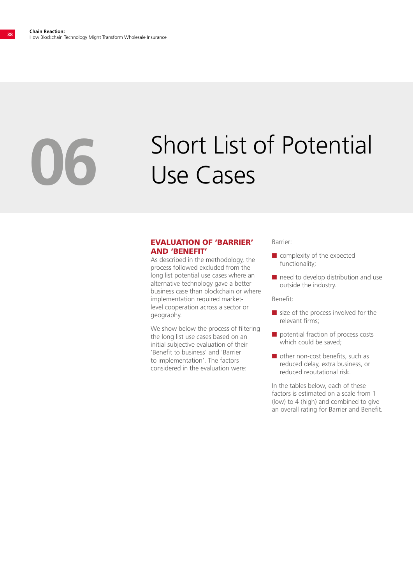# Short List of Potential **06** Use Cases

#### EVALUATION OF 'BARRIER' AND 'BENEFIT'

As described in the methodology, the process followed excluded from the long list potential use cases where an alternative technology gave a better business case than blockchain or where implementation required marketlevel cooperation across a sector or geography.

We show below the process of filtering the long list use cases based on an initial subjective evaluation of their 'Benefit to business' and 'Barrier to implementation'. The factors considered in the evaluation were:

Barrier:

- $\blacksquare$  complexity of the expected functionality;
- $\blacksquare$  need to develop distribution and use outside the industry.

Benefit:

- $\blacksquare$  size of the process involved for the relevant firms;
- $\blacksquare$  potential fraction of process costs which could be saved;
- $\blacksquare$  other non-cost benefits, such as reduced delay, extra business, or reduced reputational risk.

In the tables below, each of these factors is estimated on a scale from 1 (low) to 4 (high) and combined to give an overall rating for Barrier and Benefit.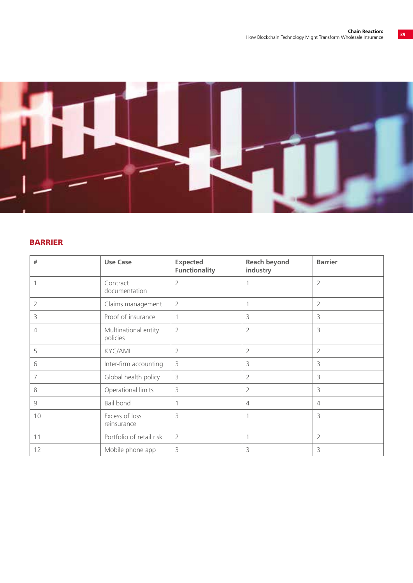

#### BARRIER

| #  | <b>Use Case</b>                  | <b>Expected</b><br><b>Functionality</b> | <b>Reach beyond</b><br>industry | <b>Barrier</b> |
|----|----------------------------------|-----------------------------------------|---------------------------------|----------------|
|    | Contract<br>documentation        | $\overline{2}$                          |                                 | $\overline{2}$ |
| 2  | Claims management                | $\overline{2}$                          | 1                               | $\overline{2}$ |
| 3  | Proof of insurance               | 1                                       | 3                               | 3              |
| 4  | Multinational entity<br>policies | $\overline{2}$                          | $\overline{2}$                  | 3              |
| 5  | <b>KYC/AML</b>                   | $\overline{2}$                          | 2                               | 2              |
| 6  | Inter-firm accounting            | 3                                       | 3                               | 3              |
| 7  | Global health policy             | 3                                       | $\overline{2}$                  | 3              |
| 8  | Operational limits               | 3                                       | $\overline{2}$                  | 3              |
| 9  | Bail bond                        | 1                                       | $\overline{4}$                  | $\overline{4}$ |
| 10 | Excess of loss<br>reinsurance    | 3                                       | 1                               | 3              |
| 11 | Portfolio of retail risk         | $\overline{2}$                          | 1                               | $\overline{2}$ |
| 12 | Mobile phone app                 | 3                                       | 3                               | 3              |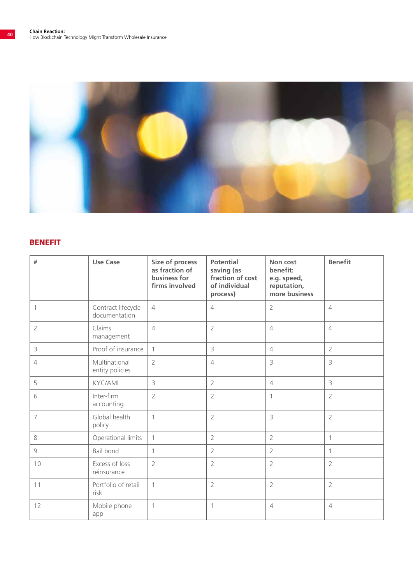

#### BENEFIT

| $\#$           | <b>Use Case</b>                     | Size of process<br>as fraction of<br>business for<br>firms involved | <b>Potential</b><br>saving (as<br>fraction of cost<br>of individual<br>process) | Non cost<br>benefit:<br>e.g. speed,<br>reputation,<br>more business | <b>Benefit</b> |
|----------------|-------------------------------------|---------------------------------------------------------------------|---------------------------------------------------------------------------------|---------------------------------------------------------------------|----------------|
| 1              | Contract lifecycle<br>documentation | $\overline{4}$                                                      | $\overline{4}$                                                                  | $\overline{2}$                                                      | $\overline{4}$ |
| $\overline{2}$ | Claims<br>management                | $\overline{4}$                                                      | $\overline{2}$                                                                  | $\overline{4}$                                                      | $\overline{4}$ |
| $\mathcal{E}$  | Proof of insurance                  | $\mathbf{1}$                                                        | 3                                                                               | $\overline{4}$                                                      | $\overline{2}$ |
| $\overline{4}$ | Multinational<br>entity policies    | $\overline{2}$                                                      | $\overline{4}$                                                                  | 3                                                                   | 3              |
| 5              | <b>KYC/AML</b>                      | 3                                                                   | $\overline{2}$                                                                  | $\overline{4}$                                                      | $\overline{3}$ |
| 6              | Inter-firm<br>accounting            | $\overline{2}$                                                      | $\overline{2}$                                                                  | $\mathbf{1}$                                                        | $\overline{2}$ |
| $\overline{7}$ | Global health<br>policy             | $\mathbf{1}$                                                        | $\overline{2}$                                                                  | 3                                                                   | $\overline{2}$ |
| 8              | Operational limits                  | 1                                                                   | $\overline{2}$                                                                  | $\overline{2}$                                                      | $\mathbf{1}$   |
| $\overline{9}$ | Bail bond                           | 1                                                                   | $\overline{2}$                                                                  | $\overline{2}$                                                      | $\mathbf{1}$   |
| 10             | Excess of loss<br>reinsurance       | $\overline{2}$                                                      | $\overline{2}$                                                                  | $\overline{2}$                                                      | $\overline{2}$ |
| 11             | Portfolio of retail<br>risk         | $\mathbf{1}$                                                        | $\overline{2}$                                                                  | $\overline{2}$                                                      | $\overline{2}$ |
| 12             | Mobile phone<br>app                 | 1                                                                   | $\mathbf{1}$                                                                    | $\overline{4}$                                                      | $\overline{4}$ |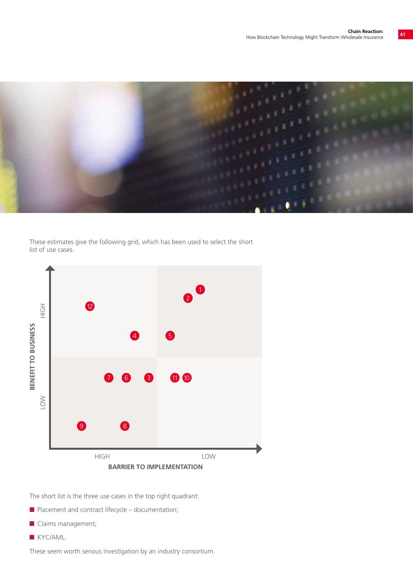

These estimates give the following grid, which has been used to select the short list of use cases.



The short list is the three use cases in the top right quadrant:

- $\blacksquare$  Placement and contract lifecycle documentation;
- Claims management;
- **N** KYC/AML.

These seem worth serious investigation by an industry consortium.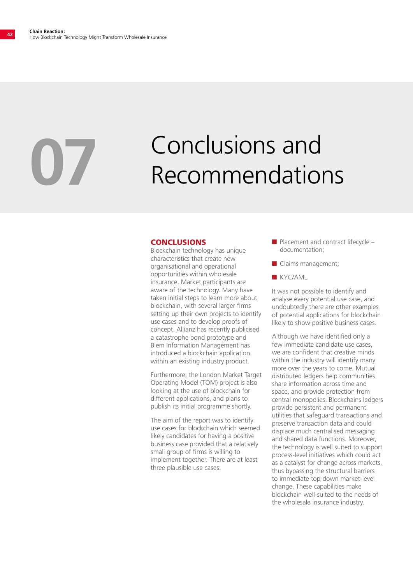# Conclusions and **07** Recommendations

#### **CONCLUSIONS**

Blockchain technology has unique characteristics that create new organisational and operational opportunities within wholesale insurance. Market participants are aware of the technology. Many have taken initial steps to learn more about blockchain, with several larger firms setting up their own projects to identify use cases and to develop proofs of concept. Allianz has recently publicised a catastrophe bond prototype and Blem Information Management has introduced a blockchain application within an existing industry product.

Furthermore, the London Market Target Operating Model (TOM) project is also looking at the use of blockchain for different applications, and plans to publish its initial programme shortly.

The aim of the report was to identify use cases for blockchain which seemed likely candidates for having a positive business case provided that a relatively small group of firms is willing to implement together. There are at least three plausible use cases:

- $\blacksquare$  Placement and contract lifecycle documentation;
- $\blacksquare$  Claims management;
- **N** KYC/AML.

It was not possible to identify and analyse every potential use case, and undoubtedly there are other examples of potential applications for blockchain likely to show positive business cases.

Although we have identified only a few immediate candidate use cases, we are confident that creative minds within the industry will identify many more over the years to come. Mutual distributed ledgers help communities share information across time and space, and provide protection from central monopolies. Blockchains ledgers provide persistent and permanent utilities that safeguard transactions and preserve transaction data and could displace much centralised messaging and shared data functions. Moreover, the technology is well suited to support process-level initiatives which could act as a catalyst for change across markets, thus bypassing the structural barriers to immediate top-down market-level change. These capabilities make blockchain well-suited to the needs of the wholesale insurance industry.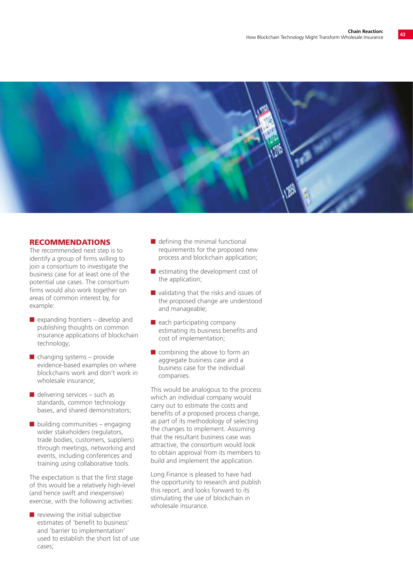

#### RECOMMENDATIONS

The recommended next step is to identify a group of firms willing to join a consortium to investigate the business case for at least one of the potential use cases. The consortium firms would also work together on areas of common interest by, for example:

- $\blacksquare$  expanding frontiers develop and publishing thoughts on common insurance applications of blockchain technology;
- $\blacksquare$  changing systems provide evidence-based examples on where blockchains work and don't work in wholesale insurance;
- $\blacksquare$  delivering services such as standards, common technology bases, and shared demonstrators;
- $\blacksquare$  building communities engaging wider stakeholders (regulators, trade bodies, customers, suppliers) through meetings, networking and events, including conferences and training using collaborative tools.

The expectation is that the first stage of this would be a relatively high-level (and hence swift and inexpensive) exercise, with the following activities:

 $\blacksquare$  reviewing the initial subjective estimates of 'benefit to business' and 'barrier to implementation' used to establish the short list of use cases;

- $\blacksquare$  defining the minimal functional requirements for the proposed new process and blockchain application;
- $\blacksquare$  estimating the development cost of the application;
- $\blacksquare$  validating that the risks and issues of the proposed change are understood and manageable;
- $\blacksquare$  each participating company estimating its business benefits and cost of implementation;
- $\blacksquare$  combining the above to form an aggregate business case and a business case for the individual companies.

This would be analogous to the process which an individual company would carry out to estimate the costs and benefits of a proposed process change, as part of its methodology of selecting the changes to implement. Assuming that the resultant business case was attractive, the consortium would look to obtain approval from its members to build and implement the application.

Long Finance is pleased to have had the opportunity to research and publish this report, and looks forward to its stimulating the use of blockchain in wholesale insurance.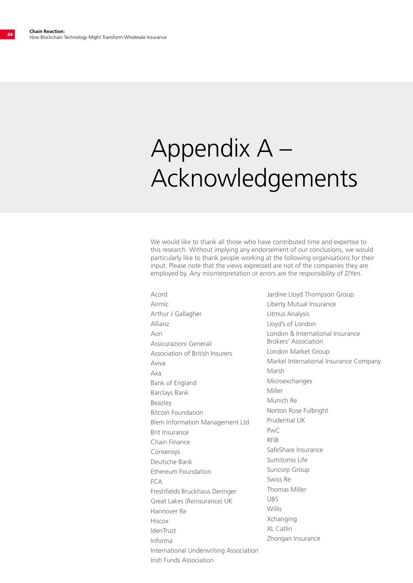## Appendix A – Acknowledgements

We would like to thank all those who have contributed time and expertise to this research. Without implying any endorsement of our conclusions, we would particularly like to thank people working at the following organisations for their input. Please note that the views expressed are not of the companies they are employed by. Any misinterpretation or errors are the responsibility of Z/Yen.

Acord Airmic Arthur J Gallagher Allianz Aon Assicurazioni Generali Association of British Insurers Aviva Axa Bank of England Barclays Bank Beazley Bitcoin Foundation Blem Information Management Ltd Brit Insurance Chain Finance Consensys Deutsche Bank Ethereum Foundation FCA Freshfields Bruckhaus Deringer Great Lakes (Reinsurance) UK Hannover Re Hiscox IdenTrust Informa International Underwriting Association Irish Funds Association

Jardine Lloyd Thompson Group Liberty Mutual Insurance Litmus Analysis Lloyd's of London London & International Insurance Brokers' Association London Market Group Markel International Insurance Company Marsh Microexchanges Miller Munich Re Norton Rose Fulbright Prudential UK  $P_{\text{V}}/C$ RFIB SafeShare Insurance Sumitomo Life Suncorp Group Swiss Re Thomas Miller UBS Willis Xchanging XL Catlin Zhongan Insurance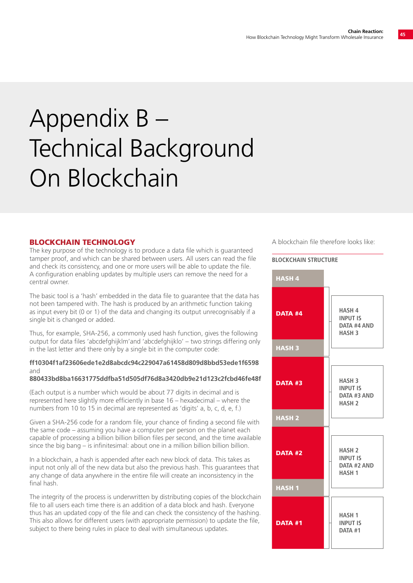## Appendix B – Technical Background On Blockchain

#### BLOCKCHAIN TECHNOLOGY

The key purpose of the technology is to produce a data file which is guaranteed tamper proof, and which can be shared between users. All users can read the file and check its consistency, and one or more users will be able to update the file. A configuration enabling updates by multiple users can remove the need for a central owner.

The basic tool is a 'hash' embedded in the data file to guarantee that the data has not been tampered with. The hash is produced by an arithmetic function taking as input every bit (0 or 1) of the data and changing its output unrecognisably if a single bit is changed or added.

Thus, for example, SHA-256, a commonly used hash function, gives the following output for data files 'abcdefghijklm'and 'abcdefghijklo' – two strings differing only in the last letter and there only by a single bit in the computer code:

#### **ff10304f1af23606ede1e2d8abcdc94c229047a61458d809d8bbd53ede1f6598** and

#### **880433bd8ba16631775ddfba51d505df76d8a3420db9e21d123c2fcbd46fe48f**

(Each output is a number which would be about 77 digits in decimal and is represented here slightly more efficiently in base 16 – hexadecimal – where the numbers from 10 to 15 in decimal are represented as 'digits' a, b, c, d, e, f.)

Given a SHA-256 code for a random file, your chance of finding a second file with the same code – assuming you have a computer per person on the planet each capable of processing a billion billion billion files per second, and the time available since the big bang – is infinitesimal: about one in a million billion billion billion.

In a blockchain, a hash is appended after each new block of data. This takes as input not only all of the new data but also the previous hash. This guarantees that any change of data anywhere in the entire file will create an inconsistency in the final hash.

The integrity of the process is underwritten by distributing copies of the blockchain file to all users each time there is an addition of a data block and hash. Everyone thus has an updated copy of the file and can check the consistency of the hashing. This also allows for different users (with appropriate permission) to update the file, subject to there being rules in place to deal with simultaneous updates.

A blockchain file therefore looks like:

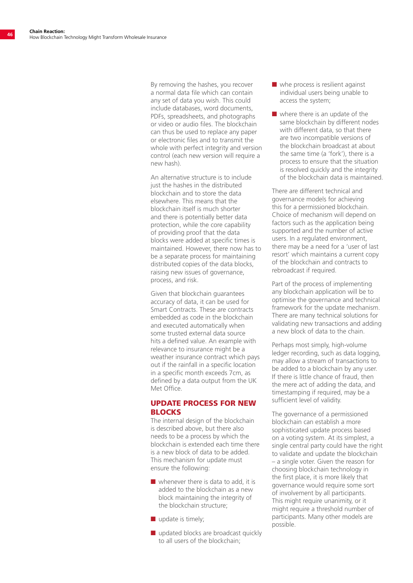By removing the hashes, you recover a normal data file which can contain any set of data you wish. This could include databases, word documents, PDFs, spreadsheets, and photographs or video or audio files. The blockchain can thus be used to replace any paper or electronic files and to transmit the whole with perfect integrity and version control (each new version will require a new hash).

An alternative structure is to include just the hashes in the distributed blockchain and to store the data elsewhere. This means that the blockchain itself is much shorter and there is potentially better data protection, while the core capability of providing proof that the data blocks were added at specific times is maintained. However, there now has to be a separate process for maintaining distributed copies of the data blocks, raising new issues of governance, process, and risk.

Given that blockchain guarantees accuracy of data, it can be used for Smart Contracts. These are contracts embedded as code in the blockchain and executed automatically when some trusted external data source hits a defined value. An example with relevance to insurance might be a weather insurance contract which pays out if the rainfall in a specific location in a specific month exceeds 7cm, as defined by a data output from the UK Met Office.

#### UPDATE PROCESS FOR NEW **BLOCKS**

The internal design of the blockchain is described above, but there also needs to be a process by which the blockchain is extended each time there is a new block of data to be added. This mechanism for update must ensure the following:

- $\blacksquare$  whenever there is data to add, it is added to the blockchain as a new block maintaining the integrity of the blockchain structure;
- $\blacksquare$  update is timely;
- $\blacksquare$  updated blocks are broadcast quickly to all users of the blockchain;
- $\blacksquare$  whe process is resilient against individual users being unable to access the system;
- $\blacksquare$  where there is an update of the same blockchain by different nodes with different data, so that there are two incompatible versions of the blockchain broadcast at about the same time (a 'fork'), there is a process to ensure that the situation is resolved quickly and the integrity of the blockchain data is maintained.

There are different technical and governance models for achieving this for a permissioned blockchain. Choice of mechanism will depend on factors such as the application being supported and the number of active users. In a regulated environment, there may be a need for a 'user of last resort' which maintains a current copy of the blockchain and contracts to rebroadcast if required.

Part of the process of implementing any blockchain application will be to optimise the governance and technical framework for the update mechanism. There are many technical solutions for validating new transactions and adding a new block of data to the chain.

Perhaps most simply, high-volume ledger recording, such as data logging, may allow a stream of transactions to be added to a blockchain by any user. If there is little chance of fraud, then the mere act of adding the data, and timestamping if required, may be a sufficient level of validity.

The governance of a permissioned blockchain can establish a more sophisticated update process based on a voting system. At its simplest, a single central party could have the right to validate and update the blockchain – a single voter. Given the reason for choosing blockchain technology in the first place, it is more likely that governance would require some sort of involvement by all participants. This might require unanimity, or it might require a threshold number of participants. Many other models are possible.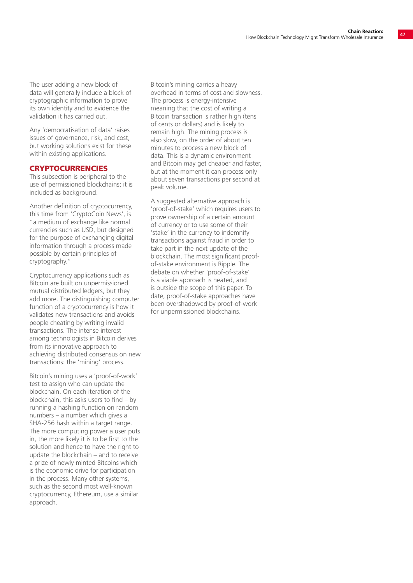The user adding a new block of data will generally include a block of cryptographic information to prove its own identity and to evidence the validation it has carried out.

Any 'democratisation of data' raises issues of governance, risk, and cost, but working solutions exist for these within existing applications.

#### **CRYPTOCURRENCIES**

This subsection is peripheral to the use of permissioned blockchains; it is included as background.

Another definition of cryptocurrency, this time from 'CryptoCoin News', is "a medium of exchange like normal currencies such as USD, but designed for the purpose of exchanging digital information through a process made possible by certain principles of cryptography."

Cryptocurrency applications such as Bitcoin are built on unpermissioned mutual distributed ledgers, but they add more. The distinguishing computer function of a cryptocurrency is how it validates new transactions and avoids people cheating by writing invalid transactions. The intense interest among technologists in Bitcoin derives from its innovative approach to achieving distributed consensus on new transactions: the 'mining' process.

Bitcoin's mining uses a 'proof-of-work' test to assign who can update the blockchain. On each iteration of the blockchain, this asks users to find – by running a hashing function on random numbers – a number which gives a SHA-256 hash within a target range. The more computing power a user puts in, the more likely it is to be first to the solution and hence to have the right to update the blockchain – and to receive a prize of newly minted Bitcoins which is the economic drive for participation in the process. Many other systems, such as the second most well-known cryptocurrency, Ethereum, use a similar approach.

Bitcoin's mining carries a heavy overhead in terms of cost and slowness. The process is energy-intensive meaning that the cost of writing a Bitcoin transaction is rather high (tens of cents or dollars) and is likely to remain high. The mining process is also slow, on the order of about ten minutes to process a new block of data. This is a dynamic environment and Bitcoin may get cheaper and faster, but at the moment it can process only about seven transactions per second at peak volume.

A suggested alternative approach is 'proof-of-stake' which requires users to prove ownership of a certain amount of currency or to use some of their 'stake' in the currency to indemnify transactions against fraud in order to take part in the next update of the blockchain. The most significant proofof-stake environment is Ripple. The debate on whether 'proof-of-stake' is a viable approach is heated, and is outside the scope of this paper. To date, proof-of-stake approaches have been overshadowed by proof-of-work for unpermissioned blockchains.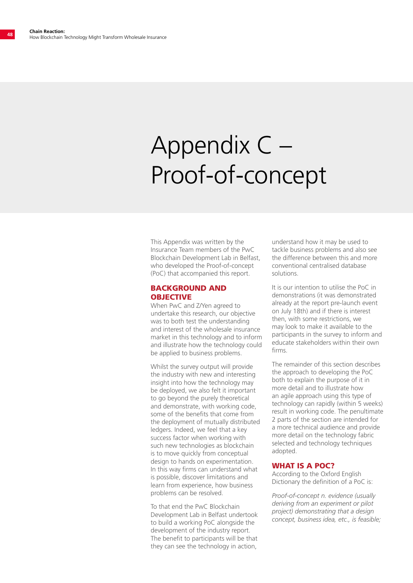## Appendix C – Proof-of-concept

This Appendix was written by the Insurance Team members of the PwC Blockchain Development Lab in Belfast, who developed the Proof-of-concept (PoC) that accompanied this report.

#### BACKGROUND AND **OBJECTIVE**

When PwC and Z/Yen agreed to undertake this research, our objective was to both test the understanding and interest of the wholesale insurance market in this technology and to inform and illustrate how the technology could be applied to business problems.

Whilst the survey output will provide the industry with new and interesting insight into how the technology may be deployed, we also felt it important to go beyond the purely theoretical and demonstrate, with working code, some of the benefits that come from the deployment of mutually distributed ledgers. Indeed, we feel that a key success factor when working with such new technologies as blockchain is to move quickly from conceptual design to hands on experimentation. In this way firms can understand what is possible, discover limitations and learn from experience, how business problems can be resolved.

To that end the PwC Blockchain Development Lab in Belfast undertook to build a working PoC alongside the development of the industry report. The benefit to participants will be that they can see the technology in action,

understand how it may be used to tackle business problems and also see the difference between this and more conventional centralised database solutions.

It is our intention to utilise the PoC in demonstrations (it was demonstrated already at the report pre-launch event on July 18th) and if there is interest then, with some restrictions, we may look to make it available to the participants in the survey to inform and educate stakeholders within their own firms.

The remainder of this section describes the approach to developing the PoC both to explain the purpose of it in more detail and to illustrate how an agile approach using this type of technology can rapidly (within 5 weeks) result in working code. The penultimate 2 parts of the section are intended for a more technical audience and provide more detail on the technology fabric selected and technology techniques adopted.

#### WHAT IS A POC?

According to the Oxford English Dictionary the definition of a PoC is:

*Proof-of-concept n. evidence (usually deriving from an experiment or pilot project) demonstrating that a design concept, business idea, etc., is feasible;*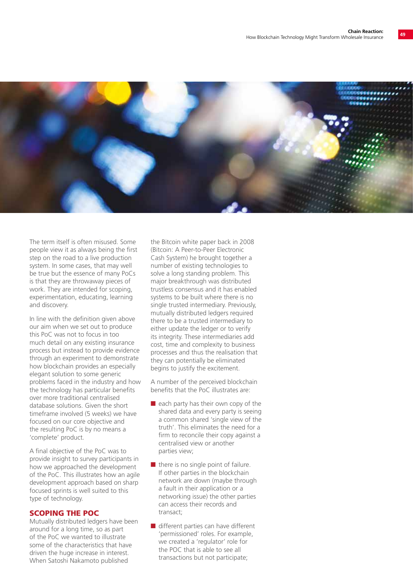

The term itself is often misused. Some people view it as always being the first step on the road to a live production system. In some cases, that may well be true but the essence of many PoCs is that they are throwaway pieces of work. They are intended for scoping, experimentation, educating, learning and discovery.

In line with the definition given above our aim when we set out to produce this PoC was not to focus in too much detail on any existing insurance process but instead to provide evidence through an experiment to demonstrate how blockchain provides an especially elegant solution to some generic problems faced in the industry and how the technology has particular benefits over more traditional centralised database solutions. Given the short timeframe involved (5 weeks) we have focused on our core objective and the resulting PoC is by no means a 'complete' product.

A final objective of the PoC was to provide insight to survey participants in how we approached the development of the PoC. This illustrates how an agile development approach based on sharp focused sprints is well suited to this type of technology.

#### SCOPING THE POC

Mutually distributed ledgers have been around for a long time, so as part of the PoC we wanted to illustrate some of the characteristics that have driven the huge increase in interest. When Satoshi Nakamoto published

the Bitcoin white paper back in 2008 (Bitcoin: A Peer-to-Peer Electronic Cash System) he brought together a number of existing technologies to solve a long standing problem. This major breakthrough was distributed trustless consensus and it has enabled systems to be built where there is no single trusted intermediary. Previously, mutually distributed ledgers required there to be a trusted intermediary to either update the ledger or to verify its integrity. These intermediaries add cost, time and complexity to business processes and thus the realisation that they can potentially be eliminated begins to justify the excitement.

A number of the perceived blockchain benefits that the PoC illustrates are:

- $\blacksquare$  each party has their own copy of the shared data and every party is seeing a common shared 'single view of the truth'. This eliminates the need for a firm to reconcile their copy against a centralised view or another parties view;
- $\blacksquare$  there is no single point of failure. If other parties in the blockchain network are down (maybe through a fault in their application or a networking issue) the other parties can access their records and transact;
- $\blacksquare$  different parties can have different 'permissioned' roles. For example, we created a 'regulator' role for the POC that is able to see all transactions but not participate;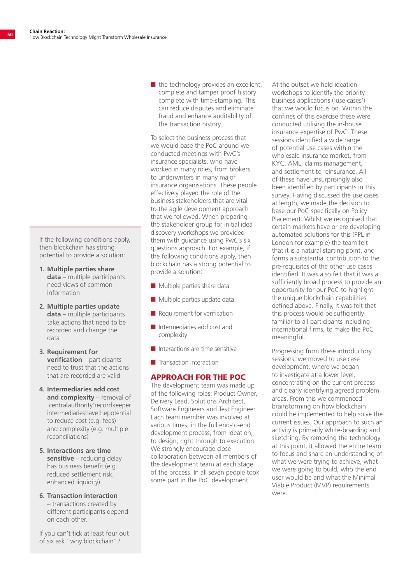If the following conditions apply, then blockchain has strong potential to provide a solution:

- **1. Multiple parties share data** – multiple participants need views of common information
- **2. Multiple parties update data** – multiple participants take actions that need to be recorded and change the data
- **3. Requirement for verification** – participants need to trust that the actions that are recorded are valid
- **4. Intermediaries add cost and complexity** – removal of 'central authority' record keeper intermediaries have the potential to reduce cost (e.g. fees) and complexity (e.g. multiple reconciliations)
- **5. Interactions are time sensitive** – reducing delay has business benefit (e.g. reduced settlement risk, enhanced liquidity)
- **6. Transaction interaction** – transactions created by different participants depend on each other.

If you can't tick at least four out of six ask "why blockchain"?

 $\blacksquare$  the technology provides an excellent, complete and tamper proof history complete with time-stamping. This can reduce disputes and eliminate fraud and enhance auditability of the transaction history.

To select the business process that we would base the PoC around we conducted meetings with PwC's insurance specialists, who have worked in many roles, from brokers to underwriters in many major insurance organisations. These people effectively played the role of the business stakeholders that are vital to the agile development approach that we followed. When preparing the stakeholder group for initial idea discovery workshops we provided them with guidance using PwC's six questions approach. For example, if the following conditions apply, then blockchain has a strong potential to provide a solution:

- $\blacksquare$  Multiple parties share data
- $\blacksquare$  Multiple parties update data
- $\blacksquare$  Requirement for verification
- $\blacksquare$  Intermediaries add cost and complexity
- Interactions are time sensitive
- $\blacksquare$  Transaction interaction

#### APPROACH FOR THE POC

The development team was made up of the following roles: Product Owner, Delivery Lead, Solutions Architect, Software Engineers and Test Engineer. Each team member was involved at various times, in the full end-to-end development process, from ideation, to design, right through to execution. We strongly encourage close collaboration between all members of the development team at each stage of the process. In all seven people took some part in the PoC development.

At the outset we held ideation workshops to identify the priority business applications ('use cases') that we would focus on. Within the confines of this exercise these were conducted utilising the in-house insurance expertise of PwC. These sessions identified a wide range of potential use cases within the wholesale insurance market, from KYC, AML, claims management, and settlement to reinsurance. All of these have unsurprisingly also been identified by participants in this survey. Having discussed the use cases at length, we made the decision to base our PoC specifically on Policy Placement. Whilst we recognised that certain markets have or are developing automated solutions for this (PPL in London for example) the team felt that it is a natural starting point, and forms a substantial contribution to the pre-requisites of the other use cases identified. It was also felt that it was a sufficiently broad process to provide an opportunity for our PoC to highlight the unique blockchain capabilities defined above. Finally, it was felt that this process would be sufficiently familiar to all participants including international firms, to make the PoC meaningful.

Progressing from these introductory sessions, we moved to use case development, where we began to investigate at a lower level, concentrating on the current process and clearly identifying agreed problem areas. From this we commenced brainstorming on how blockchain could be implemented to help solve the current issues. Our approach to such an activity is primarily white-boarding and sketching. By removing the technology at this point, it allowed the entire team to focus and share an understanding of what we were trying to achieve, what we were going to build, who the end user would be and what the Minimal Viable Product (MVP) requirements were.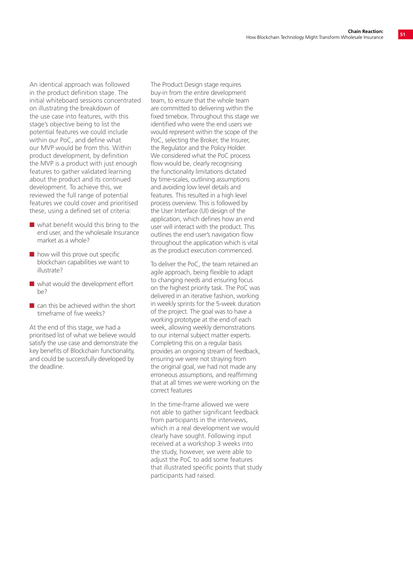An identical approach was followed in the product definition stage. The initial whiteboard sessions concentrated on illustrating the breakdown of the use case into features, with this stage's objective being to list the potential features we could include within our PoC, and define what our MVP would be from this. Within product development, by definition the MVP is a product with just enough features to gather validated learning about the product and its continued development. To achieve this, we reviewed the full range of potential features we could cover and prioritised these, using a defined set of criteria:

- $\blacksquare$  what benefit would this bring to the end user, and the wholesale Insurance market as a whole?
- $\blacksquare$  how will this prove out specific blockchain capabilities we want to illustrate?
- $\blacksquare$  what would the development effort be?
- $\blacksquare$  can this be achieved within the short timeframe of five weeks?

At the end of this stage, we had a prioritised list of what we believe would satisfy the use case and demonstrate the key benefits of Blockchain functionality, and could be successfully developed by the deadline.

The Product Design stage requires buy-in from the entire development team, to ensure that the whole team are committed to delivering within the fixed timebox. Throughout this stage we identified who were the end users we would represent within the scope of the PoC, selecting the Broker, the Insurer, the Regulator and the Policy Holder. We considered what the PoC process flow would be, clearly recognising the functionality limitations dictated by time-scales, outlining assumptions and avoiding low level details and features. This resulted in a high level process overview. This is followed by the User Interface (UI) design of the application, which defines how an end user will interact with the product. This outlines the end user's navigation flow throughout the application which is vital as the product execution commenced.

To deliver the PoC, the team retained an agile approach, being flexible to adapt to changing needs and ensuring focus on the highest priority task. The PoC was delivered in an iterative fashion, working in weekly sprints for the 5-week duration of the project. The goal was to have a working prototype at the end of each week, allowing weekly demonstrations to our internal subject matter experts. Completing this on a regular basis provides an ongoing stream of feedback, ensuring we were not straying from the original goal, we had not made any erroneous assumptions, and reaffirming that at all times we were working on the correct features

In the time-frame allowed we were not able to gather significant feedback from participants in the interviews, which in a real development we would clearly have sought. Following input received at a workshop 3 weeks into the study, however, we were able to adjust the PoC to add some features that illustrated specific points that study participants had raised.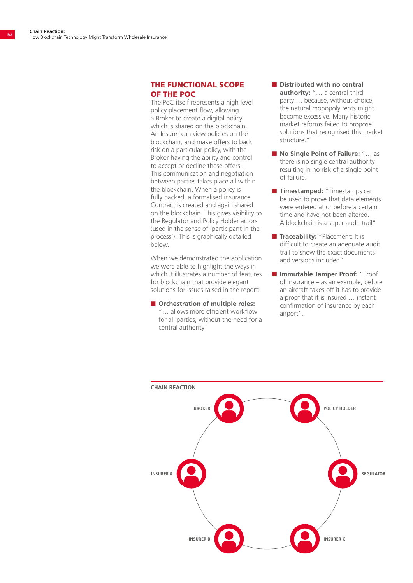#### THE FUNCTIONAL SCOPE OF THE POC

The PoC itself represents a high level policy placement flow, allowing a Broker to create a digital policy which is shared on the blockchain. An Insurer can view policies on the blockchain, and make offers to back risk on a particular policy, with the Broker having the ability and control to accept or decline these offers. This communication and negotiation between parties takes place all within the blockchain. When a policy is fully backed, a formalised insurance Contract is created and again shared on the blockchain. This gives visibility to the Regulator and Policy Holder actors (used in the sense of 'participant in the process'). This is graphically detailed below.

When we demonstrated the application we were able to highlight the ways in which it illustrates a number of features for blockchain that provide elegant solutions for issues raised in the report:

■ Orchestration of multiple roles: "… allows more efficient workflow for all parties, without the need for a central authority"

- Distributed with no central **authority:** "… a central third party … because, without choice, the natural monopoly rents might become excessive. Many historic market reforms failed to propose solutions that recognised this market structure."
- No Single Point of Failure: "... as there is no single central authority resulting in no risk of a single point of failure."
- **n Timestamped:** "Timestamps can be used to prove that data elements were entered at or before a certain time and have not been altered. A blockchain is a super audit trail"
- **n Traceability:** "Placement: It is difficult to create an adequate audit trail to show the exact documents and versions included"
- **n** Immutable Tamper Proof: "Proof of insurance – as an example, before an aircraft takes off it has to provide a proof that it is insured … instant confirmation of insurance by each airport".

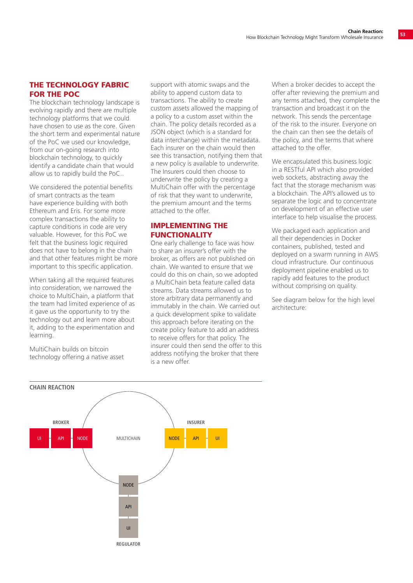#### THE TECHNOLOGY FABRIC FOR THE POC

The blockchain technology landscape is evolving rapidly and there are multiple technology platforms that we could have chosen to use as the core. Given the short term and experimental nature of the PoC we used our knowledge, from our on-going research into blockchain technology, to quickly identify a candidate chain that would allow us to rapidly build the PoC..

We considered the potential benefits of smart contracts as the team have experience building with both Ethereum and Eris. For some more complex transactions the ability to capture conditions in code are very valuable. However, for this PoC we felt that the business logic required does not have to belong in the chain and that other features might be more important to this specific application.

When taking all the required features into consideration, we narrowed the choice to MultiChain, a platform that the team had limited experience of as it gave us the opportunity to try the technology out and learn more about it, adding to the experimentation and learning.

MultiChain builds on bitcoin technology offering a native asset support with atomic swaps and the ability to append custom data to transactions. The ability to create custom assets allowed the mapping of a policy to a custom asset within the chain. The policy details recorded as a JSON object (which is a standard for data interchange) within the metadata. Each insurer on the chain would then see this transaction, notifying them that a new policy is available to underwrite. The Insurers could then choose to underwrite the policy by creating a MultiChain offer with the percentage of risk that they want to underwrite, the premium amount and the terms attached to the offer.

#### IMPLEMENTING THE FUNCTIONALITY

One early challenge to face was how to share an insurer's offer with the broker, as offers are not published on chain. We wanted to ensure that we could do this on chain, so we adopted a MultiChain beta feature called data streams. Data streams allowed us to store arbitrary data permanently and immutably in the chain. We carried out a quick development spike to validate this approach before iterating on the create policy feature to add an address to receive offers for that policy. The insurer could then send the offer to this address notifying the broker that there is a new offer.

When a broker decides to accept the offer after reviewing the premium and any terms attached, they complete the transaction and broadcast it on the network. This sends the percentage of the risk to the insurer. Everyone on the chain can then see the details of the policy, and the terms that where attached to the offer.

We encapsulated this business logic in a RESTful API which also provided web sockets, abstracting away the fact that the storage mechanism was a blockchain. The API's allowed us to separate the logic and to concentrate on development of an effective user interface to help visualise the process.

We packaged each application and all their dependencies in Docker containers, published, tested and deployed on a swarm running in AWS cloud infrastructure. Our continuous deployment pipeline enabled us to rapidly add features to the product without comprising on quality.

See diagram below for the high level architecture:

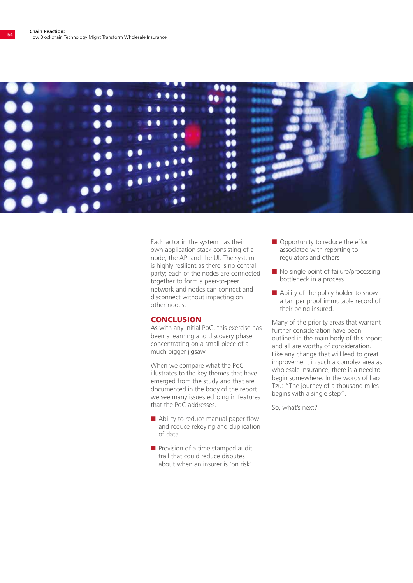

Each actor in the system has their own application stack consisting of a node, the API and the UI. The system is highly resilient as there is no central party; each of the nodes are connected together to form a peer-to-peer network and nodes can connect and disconnect without impacting on other nodes.

#### **CONCLUSION**

As with any initial PoC, this exercise has been a learning and discovery phase, concentrating on a small piece of a much bigger jigsaw.

When we compare what the PoC illustrates to the key themes that have emerged from the study and that are documented in the body of the report we see many issues echoing in features that the PoC addresses.

- $\blacksquare$  Ability to reduce manual paper flow and reduce rekeying and duplication of data
- $\blacksquare$  Provision of a time stamped audit trail that could reduce disputes about when an insurer is 'on risk'
- $\blacksquare$  Opportunity to reduce the effort associated with reporting to regulators and others
- $\blacksquare$  No single point of failure/processing bottleneck in a process
- $\blacksquare$  Ability of the policy holder to show a tamper proof immutable record of their being insured.

Many of the priority areas that warrant further consideration have been outlined in the main body of this report and all are worthy of consideration. Like any change that will lead to great improvement in such a complex area as wholesale insurance, there is a need to begin somewhere. In the words of Lao Tzu: "The journey of a thousand miles begins with a single step".

So, what's next?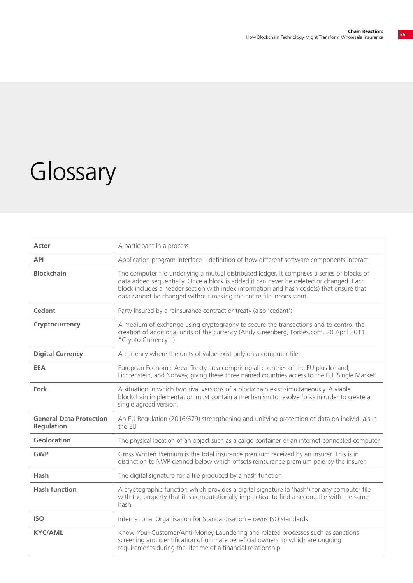## Glossary

| <b>Actor</b>                                        | A participant in a process                                                                                                                                                                                                                                                                                                                                 |
|-----------------------------------------------------|------------------------------------------------------------------------------------------------------------------------------------------------------------------------------------------------------------------------------------------------------------------------------------------------------------------------------------------------------------|
| <b>API</b>                                          | Application program interface – definition of how different software components interact                                                                                                                                                                                                                                                                   |
| <b>Blockchain</b>                                   | The computer file underlying a mutual distributed ledger. It comprises a series of blocks of<br>data added sequentially. Once a block is added it can never be deleted or changed. Each<br>block includes a header section with index information and hash code(s) that ensure that<br>data cannot be changed without making the entire file inconsistent. |
| Cedent                                              | Party insured by a reinsurance contract or treaty (also 'cedant')                                                                                                                                                                                                                                                                                          |
| Cryptocurrency                                      | A medium of exchange using cryptography to secure the transactions and to control the<br>creation of additional units of the currency (Andy Greenberg, Forbes.com, 20 April 2011.<br>"Crypto Currency".)                                                                                                                                                   |
| <b>Digital Currency</b>                             | A currency where the units of value exist only on a computer file                                                                                                                                                                                                                                                                                          |
| <b>EEA</b>                                          | European Economic Area: Treaty area comprising all countries of the EU plus Iceland,<br>Lichtenstein, and Norway, giving these three named countries access to the EU 'Single Market'                                                                                                                                                                      |
| Fork                                                | A situation in which two rival versions of a blockchain exist simultaneously. A viable<br>blockchain implementation must contain a mechanism to resolve forks in order to create a<br>single agreed version.                                                                                                                                               |
| <b>General Data Protection</b><br><b>Regulation</b> | An EU Regulation (2016/679) strengthening and unifying protection of data on individuals in<br>the EU                                                                                                                                                                                                                                                      |
| Geolocation                                         | The physical location of an object such as a cargo container or an internet-connected computer                                                                                                                                                                                                                                                             |
| <b>GWP</b>                                          | Gross Written Premium is the total insurance premium received by an insurer. This is in<br>distinction to NWP defined below which offsets reinsurance premium paid by the insurer.                                                                                                                                                                         |
| Hash                                                | The digital signature for a file produced by a hash function                                                                                                                                                                                                                                                                                               |
| <b>Hash function</b>                                | A cryptographic function which provides a digital signature (a 'hash') for any computer file<br>with the property that it is computationally impractical to find a second file with the same<br>hash.                                                                                                                                                      |
| <b>ISO</b>                                          | International Organisation for Standardisation - owns ISO standards                                                                                                                                                                                                                                                                                        |
| <b>KYC/AML</b>                                      | Know-Your-Customer/Anti-Money-Laundering and related processes such as sanctions<br>screening and identification of ultimate beneficial ownership which are ongoing<br>requirements during the lifetime of a financial relationship.                                                                                                                       |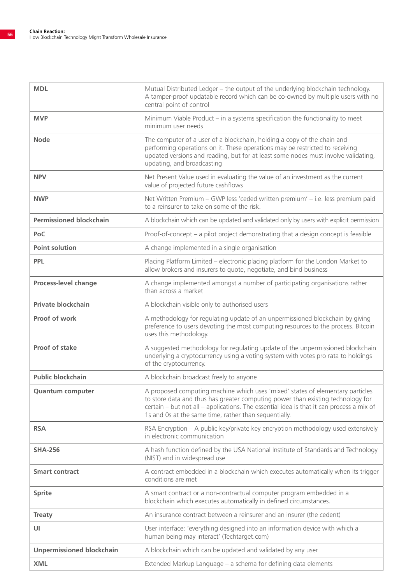| <b>MDL</b>                       | Mutual Distributed Ledger - the output of the underlying blockchain technology.<br>A tamper-proof updatable record which can be co-owned by multiple users with no<br>central point of control                                                                                                                         |
|----------------------------------|------------------------------------------------------------------------------------------------------------------------------------------------------------------------------------------------------------------------------------------------------------------------------------------------------------------------|
| <b>MVP</b>                       | Minimum Viable Product - in a systems specification the functionality to meet<br>minimum user needs                                                                                                                                                                                                                    |
| <b>Node</b>                      | The computer of a user of a blockchain, holding a copy of the chain and<br>performing operations on it. These operations may be restricted to receiving<br>updated versions and reading, but for at least some nodes must involve validating,<br>updating, and broadcasting                                            |
| <b>NPV</b>                       | Net Present Value used in evaluating the value of an investment as the current<br>value of projected future cashflows                                                                                                                                                                                                  |
| <b>NWP</b>                       | Net Written Premium - GWP less 'ceded written premium' - i.e. less premium paid<br>to a reinsurer to take on some of the risk.                                                                                                                                                                                         |
| <b>Permissioned blockchain</b>   | A blockchain which can be updated and validated only by users with explicit permission                                                                                                                                                                                                                                 |
| PoC                              | Proof-of-concept - a pilot project demonstrating that a design concept is feasible                                                                                                                                                                                                                                     |
| <b>Point solution</b>            | A change implemented in a single organisation                                                                                                                                                                                                                                                                          |
| <b>PPL</b>                       | Placing Platform Limited - electronic placing platform for the London Market to<br>allow brokers and insurers to quote, negotiate, and bind business                                                                                                                                                                   |
| Process-level change             | A change implemented amongst a number of participating organisations rather<br>than across a market                                                                                                                                                                                                                    |
| Private blockchain               | A blockchain visible only to authorised users                                                                                                                                                                                                                                                                          |
| Proof of work                    | A methodology for regulating update of an unpermissioned blockchain by giving<br>preference to users devoting the most computing resources to the process. Bitcoin<br>uses this methodology.                                                                                                                           |
| <b>Proof of stake</b>            | A suggested methodology for regulating update of the unpermissioned blockchain<br>underlying a cryptocurrency using a voting system with votes pro rata to holdings<br>of the cryptocurrency.                                                                                                                          |
| <b>Public blockchain</b>         | A blockchain broadcast freely to anyone                                                                                                                                                                                                                                                                                |
| <b>Quantum computer</b>          | A proposed computing machine which uses 'mixed' states of elementary particles<br>to store data and thus has greater computing power than existing technology for<br>certain - but not all - applications. The essential idea is that it can process a mix of<br>1s and 0s at the same time, rather than sequentially. |
| <b>RSA</b>                       | RSA Encryption - A public key/private key encryption methodology used extensively<br>in electronic communication                                                                                                                                                                                                       |
| <b>SHA-256</b>                   | A hash function defined by the USA National Institute of Standards and Technology<br>(NIST) and in widespread use                                                                                                                                                                                                      |
| <b>Smart contract</b>            | A contract embedded in a blockchain which executes automatically when its trigger<br>conditions are met                                                                                                                                                                                                                |
| <b>Sprite</b>                    | A smart contract or a non-contractual computer program embedded in a<br>blockchain which executes automatically in defined circumstances.                                                                                                                                                                              |
| <b>Treaty</b>                    | An insurance contract between a reinsurer and an insurer (the cedent)                                                                                                                                                                                                                                                  |
| UI                               | User interface: 'everything designed into an information device with which a<br>human being may interact' (Techtarget.com)                                                                                                                                                                                             |
| <b>Unpermissioned blockchain</b> | A blockchain which can be updated and validated by any user                                                                                                                                                                                                                                                            |
| <b>XML</b>                       | Extended Markup Language - a schema for defining data elements                                                                                                                                                                                                                                                         |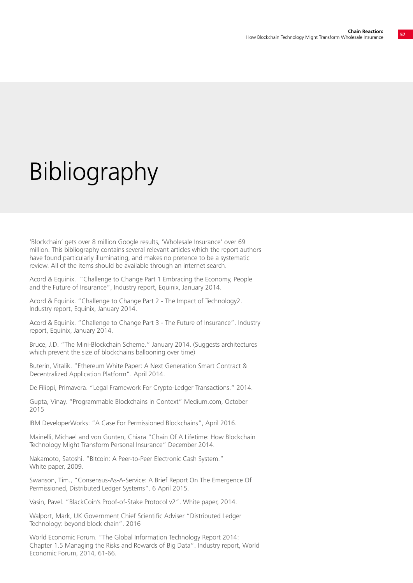## Bibliography

'Blockchain' gets over 8 million Google results, 'Wholesale Insurance' over 69 million. This bibliography contains several relevant articles which the report authors have found particularly illuminating, and makes no pretence to be a systematic review. All of the items should be available through an internet search.

Acord & Equinix. "Challenge to Change Part 1 Embracing the Economy, People and the Future of Insurance", Industry report, Equinix, January 2014.

Acord & Equinix. "Challenge to Change Part 2 - The Impact of Technology2. Industry report, Equinix, January 2014.

Acord & Equinix. "Challenge to Change Part 3 - The Future of Insurance". Industry report, Equinix, January 2014.

Bruce, J.D. "The Mini-Blockchain Scheme." January 2014. (Suggests architectures which prevent the size of blockchains ballooning over time)

Buterin, Vitalik. "Ethereum White Paper: A Next Generation Smart Contract & Decentralized Application Platform". April 2014.

De Filippi, Primavera. "Legal Framework For Crypto-Ledger Transactions." 2014.

Gupta, Vinay. "Programmable Blockchains in Context" Medium.com, October 2015

IBM DeveloperWorks: "A Case For Permissioned Blockchains", April 2016.

Mainelli, Michael and von Gunten, Chiara "Chain Of A Lifetime: How Blockchain Technology Might Transform Personal Insurance" December 2014.

Nakamoto, Satoshi. "Bitcoin: A Peer-to-Peer Electronic Cash System." White paper, 2009.

Swanson, Tim., "Consensus-As-A-Service: A Brief Report On The Emergence Of Permissioned, Distributed Ledger Systems". 6 April 2015.

Vasin, Pavel. "BlackCoin's Proof-of-Stake Protocol v2". White paper, 2014.

Walport, Mark, UK Government Chief Scientific Adviser "Distributed Ledger Technology: beyond block chain". 2016

World Economic Forum. "The Global Information Technology Report 2014: Chapter 1.5 Managing the Risks and Rewards of Big Data". Industry report, World Economic Forum, 2014, 61-66.